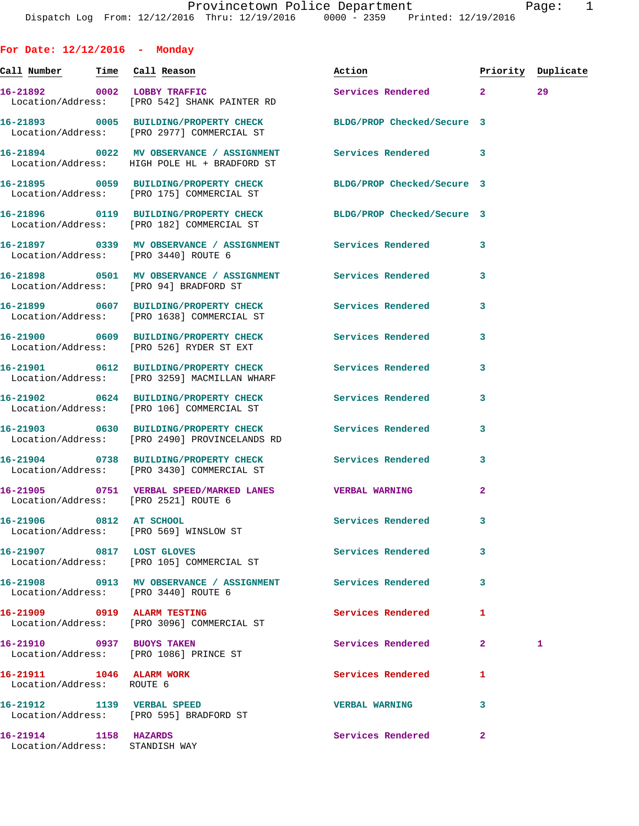**For Date: 12/12/2016 - Monday Call Number Time Call Reason Action Priority Duplicate 16-21892 0002 LOBBY TRAFFIC Services Rendered 2 29**  Location/Address: [PRO 542] SHANK PAINTER RD **16-21893 0005 BUILDING/PROPERTY CHECK BLDG/PROP Checked/Secure 3**  Location/Address: [PRO 2977] COMMERCIAL ST **16-21894 0022 MV OBSERVANCE / ASSIGNMENT Services Rendered 3**  Location/Address: HIGH POLE HL + BRADFORD ST **16-21895 0059 BUILDING/PROPERTY CHECK BLDG/PROP Checked/Secure 3**  Location/Address: [PRO 175] COMMERCIAL ST **16-21896 0119 BUILDING/PROPERTY CHECK BLDG/PROP Checked/Secure 3**  Location/Address: [PRO 182] COMMERCIAL ST **16-21897 0339 MV OBSERVANCE / ASSIGNMENT Services Rendered 3**  Location/Address: [PRO 3440] ROUTE 6 **16-21898 0501 MV OBSERVANCE / ASSIGNMENT Services Rendered 3**  Location/Address: [PRO 94] BRADFORD ST **16-21899 0607 BUILDING/PROPERTY CHECK Services Rendered 3**  Location/Address: [PRO 1638] COMMERCIAL ST **16-21900 0609 BUILDING/PROPERTY CHECK Services Rendered 3**  Location/Address: [PRO 526] RYDER ST EXT **16-21901 0612 BUILDING/PROPERTY CHECK Services Rendered 3**  Location/Address: [PRO 3259] MACMILLAN WHARF **16-21902 0624 BUILDING/PROPERTY CHECK Services Rendered 3**  Location/Address: [PRO 106] COMMERCIAL ST **16-21903 0630 BUILDING/PROPERTY CHECK Services Rendered 3**  Location/Address: [PRO 2490] PROVINCELANDS RD **16-21904 0738 BUILDING/PROPERTY CHECK Services Rendered 3**  Location/Address: [PRO 3430] COMMERCIAL ST **16-21905 0751 VERBAL SPEED/MARKED LANES VERBAL WARNING 2**  Location/Address: [PRO 2521] ROUTE 6 **16-21906 0812 AT SCHOOL Services Rendered 3**  Location/Address: [PRO 569] WINSLOW ST **16-21907 0817 LOST GLOVES Services Rendered 3**  Location/Address: [PRO 105] COMMERCIAL ST **16-21908 0913 MV OBSERVANCE / ASSIGNMENT Services Rendered 3**  Location/Address: [PRO 3440] ROUTE 6 **16-21909 0919 ALARM TESTING Services Rendered 1**  Location/Address: [PRO 3096] COMMERCIAL ST **16-21910 0937 BUOYS TAKEN Services Rendered 2 1**  Location/Address: [PRO 1086] PRINCE ST **16-21911 1046 ALARM WORK Services Rendered 1**  Location/Address: ROUTE 6 **16-21912 1139 VERBAL SPEED VERBAL WARNING 3**  Location/Address: [PRO 595] BRADFORD ST **16-21914 1158 HAZARDS Services Rendered 2** 

Location/Address: STANDISH WAY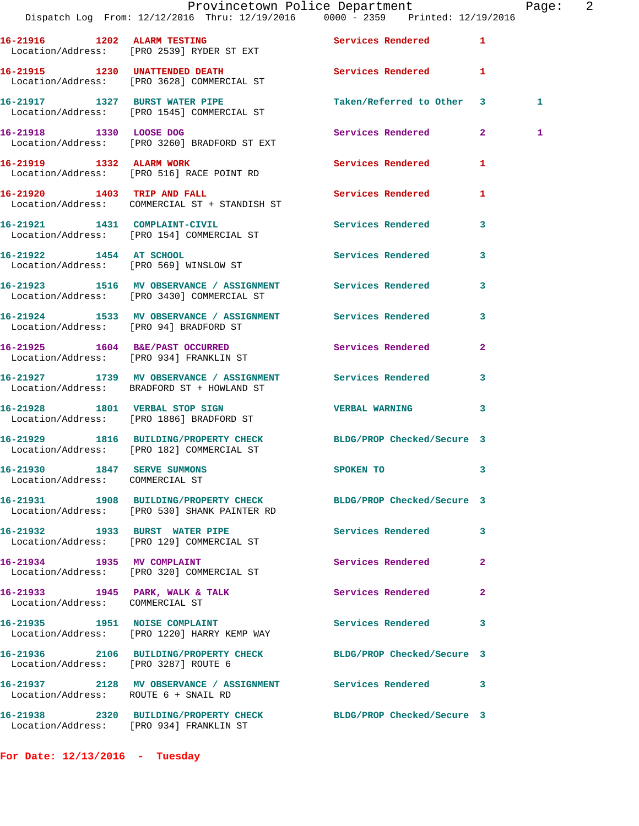|                                                                |                                                                              | Provincetown Police Department<br>Dispatch Log From: 12/12/2016 Thru: 12/19/2016 0000 - 2359 Printed: 12/19/2016 | Page: 2      |
|----------------------------------------------------------------|------------------------------------------------------------------------------|------------------------------------------------------------------------------------------------------------------|--------------|
|                                                                | 16-21916 1202 ALARM TESTING<br>Location/Address: [PRO 2539] RYDER ST EXT     | Services Rendered 1                                                                                              |              |
|                                                                | 16-21915 1230 UNATTENDED DEATH<br>Location/Address: [PRO 3628] COMMERCIAL ST | Services Rendered 1                                                                                              |              |
|                                                                | 16-21917 1327 BURST WATER PIPE<br>Location/Address: [PRO 1545] COMMERCIAL ST | Taken/Referred to Other 3                                                                                        | 1            |
| 16-21918 1330 LOOSE DOG                                        | Location/Address: [PRO 3260] BRADFORD ST EXT                                 | Services Rendered 2                                                                                              | 1            |
|                                                                | 16-21919 1332 ALARM WORK<br>Location/Address: [PRO 516] RACE POINT RD        | <b>Services Rendered</b>                                                                                         | 1            |
|                                                                | 16-21920 1403 TRIP AND FALL<br>Location/Address: COMMERCIAL ST + STANDISH ST | Services Rendered 1                                                                                              |              |
|                                                                | 16-21921 1431 COMPLAINT-CIVIL<br>Location/Address: [PRO 154] COMMERCIAL ST   | Services Rendered 3                                                                                              |              |
|                                                                | 16-21922 1454 AT SCHOOL<br>Location/Address: [PRO 569] WINSLOW ST            | Services Rendered 3                                                                                              |              |
|                                                                |                                                                              | 16-21923 1516 MV OBSERVANCE / ASSIGNMENT Services Rendered 3<br>Location/Address: [PRO 3430] COMMERCIAL ST       |              |
| Location/Address: [PRO 94] BRADFORD ST                         |                                                                              | 16-21924 1533 MV OBSERVANCE / ASSIGNMENT Services Rendered                                                       | 3            |
|                                                                | 16-21925 1604 B&E/PAST OCCURRED<br>Location/Address: [PRO 934] FRANKLIN ST   | Services Rendered                                                                                                | $\mathbf{2}$ |
|                                                                | Location/Address: BRADFORD ST + HOWLAND ST                                   | 16-21927 1739 MV OBSERVANCE / ASSIGNMENT Services Rendered                                                       | 3            |
|                                                                | 16-21928 1801 VERBAL STOP SIGN<br>Location/Address: [PRO 1886] BRADFORD ST   | VERBAL WARNING 3                                                                                                 |              |
|                                                                | Location/Address: [PRO 182] COMMERCIAL ST                                    | 16-21929 1816 BUILDING/PROPERTY CHECK BLDG/PROP Checked/Secure 3                                                 |              |
| 16-21930 1847 SERVE SUMMONS<br>Location/Address: COMMERCIAL ST |                                                                              | SPOKEN TO                                                                                                        | 3            |
|                                                                | Location/Address: [PRO 530] SHANK PAINTER RD                                 | 16-21931 1908 BUILDING/PROPERTY CHECK BLDG/PROP Checked/Secure 3                                                 |              |
|                                                                | 16-21932 1933 BURST WATER PIPE<br>Location/Address: [PRO 129] COMMERCIAL ST  | Services Rendered 3                                                                                              |              |
| 16-21934 1935 MV COMPLAINT                                     | Location/Address: [PRO 320] COMMERCIAL ST                                    | Services Rendered                                                                                                | $\mathbf{2}$ |
| Location/Address: COMMERCIAL ST                                | 16-21933 1945 PARK, WALK & TALK                                              | Services Rendered                                                                                                | $\mathbf{2}$ |
|                                                                | 16-21935 1951 NOISE COMPLAINT<br>Location/Address: [PRO 1220] HARRY KEMP WAY | Services Rendered                                                                                                | 3            |
| Location/Address: [PRO 3287] ROUTE 6                           |                                                                              | 16-21936 2106 BUILDING/PROPERTY CHECK BLDG/PROP Checked/Secure 3                                                 |              |
| Location/Address: ROUTE 6 + SNAIL RD                           |                                                                              | 16-21937 2128 MV OBSERVANCE / ASSIGNMENT Services Rendered 3                                                     |              |
|                                                                | Location/Address: [PRO 934] FRANKLIN ST                                      | 16-21938 2320 BUILDING/PROPERTY CHECK BLDG/PROP Checked/Secure 3                                                 |              |

**For Date: 12/13/2016 - Tuesday**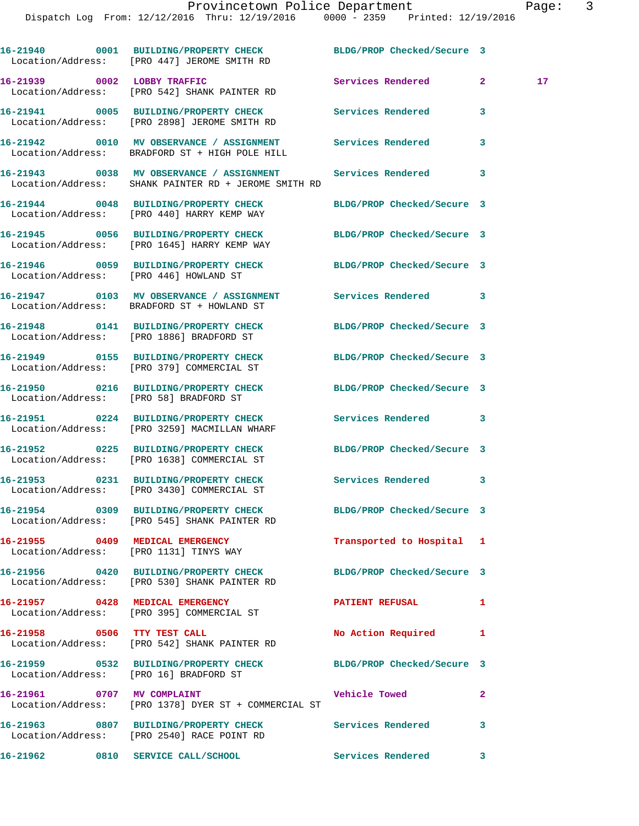|                             | Provincetown Police Department                                                                                             |                            |   | Page: | 3 |
|-----------------------------|----------------------------------------------------------------------------------------------------------------------------|----------------------------|---|-------|---|
|                             | Dispatch Log From: 12/12/2016 Thru: 12/19/2016 0000 - 2359 Printed: 12/19/2016                                             |                            |   |       |   |
|                             |                                                                                                                            |                            |   |       |   |
|                             | 16-21940      0001 BUILDING/PROPERTY CHECK       BLDG/PROP Checked/Secure 3<br>Location/Address: [PRO 447] JEROME SMITH RD |                            |   |       |   |
| 16-21939 0002 LOBBY TRAFFIC | Location/Address: [PRO 542] SHANK PAINTER RD                                                                               | Services Rendered 2        |   | 17    |   |
|                             | Location/Address: [PRO 2898] JEROME SMITH RD                                                                               |                            | 3 |       |   |
|                             | Location/Address: BRADFORD ST + HIGH POLE HILL                                                                             |                            | 3 |       |   |
|                             | Location/Address: SHANK PAINTER RD + JEROME SMITH RD                                                                       |                            | 3 |       |   |
|                             | Location/Address: [PRO 440] HARRY KEMP WAY                                                                                 | BLDG/PROP Checked/Secure 3 |   |       |   |

**16-21945 0056 BUILDING/PROPERTY CHECK BLDG/PROP Checked/Secure 3**  Location/Address: [PRO 1645] HARRY KEMP WAY

**16-21946 0059 BUILDING/PROPERTY CHECK BLDG/PROP Checked/Secure 3**  Location/Address: [PRO 446] HOWLAND ST

**16-21947 0103 MV OBSERVANCE / ASSIGNMENT Services Rendered 3**  Location/Address: BRADFORD ST + HOWLAND ST

**16-21948 0141 BUILDING/PROPERTY CHECK BLDG/PROP Checked/Secure 3**  Location/Address: [PRO 1886] BRADFORD ST

**16-21949 0155 BUILDING/PROPERTY CHECK BLDG/PROP Checked/Secure 3**  Location/Address: [PRO 379] COMMERCIAL ST

**16-21950 0216 BUILDING/PROPERTY CHECK BLDG/PROP Checked/Secure 3**  Location/Address: [PRO 58] BRADFORD ST

**16-21951 0224 BUILDING/PROPERTY CHECK Services Rendered 3** 

Location/Address: [PRO 1638] COMMERCIAL ST

**16-21953 0231 BUILDING/PROPERTY CHECK Services Rendered 3**  Location/Address: [PRO 3430] COMMERCIAL ST

Location/Address: [PRO 545] SHANK PAINTER RD

Location/Address: [PRO 1131] TINYS WAY

Location/Address: [PRO 530] SHANK PAINTER RD

Location/Address: [PRO 395] COMMERCIAL ST

16-21958 0506 TTY TEST CALL **No Action Required** 1 Location/Address: [PRO 542] SHANK PAINTER RD

Location/Address: [PRO 16] BRADFORD ST

Location/Address: [PRO 1378] DYER ST + COMMERCIAL ST

[PRO 3259] MACMILLAN WHARF

Location/Address: [PRO 2540] RACE POINT RD

**16-21962 0810 SERVICE CALL/SCHOOL Services Rendered 3** 

**16-21952 0225 BUILDING/PROPERTY CHECK BLDG/PROP Checked/Secure 3** 

**16-21954 0309 BUILDING/PROPERTY CHECK BLDG/PROP Checked/Secure 3** 

**16-21955 0409 MEDICAL EMERGENCY Transported to Hospital 1** 

**16-21956 0420 BUILDING/PROPERTY CHECK BLDG/PROP Checked/Secure 3** 

**16-21957 0428 MEDICAL EMERGENCY PATIENT REFUSAL 1** 

**16-21959 0532 BUILDING/PROPERTY CHECK BLDG/PROP Checked/Secure 3** 

16-21961 0707 MV COMPLAINT Vehicle Towed 2

**16-21963 0807 BUILDING/PROPERTY CHECK Services Rendered 3**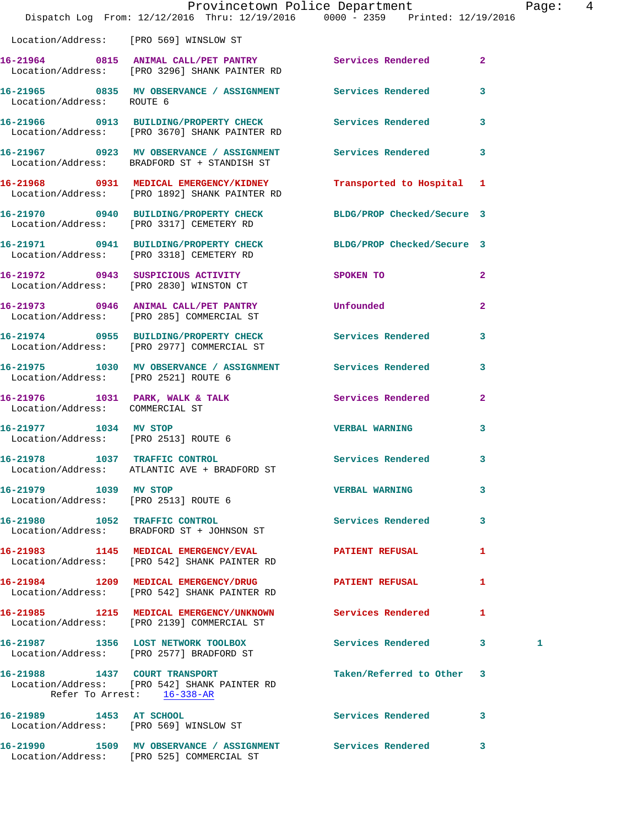|                                                               | Dispatch Log From: 12/12/2016 Thru: 12/19/2016 0000 - 2359 Printed: 12/19/2016                               | Provincetown Police Department |                | Page: 4 |  |
|---------------------------------------------------------------|--------------------------------------------------------------------------------------------------------------|--------------------------------|----------------|---------|--|
| Location/Address: [PRO 569] WINSLOW ST                        |                                                                                                              |                                |                |         |  |
|                                                               | 16-21964 0815 ANIMAL CALL/PET PANTRY Services Rendered<br>Location/Address: [PRO 3296] SHANK PAINTER RD      |                                | $\overline{2}$ |         |  |
| Location/Address: ROUTE 6                                     | 16-21965 0835 MV OBSERVANCE / ASSIGNMENT Services Rendered 3                                                 |                                |                |         |  |
|                                                               | 16-21966 0913 BUILDING/PROPERTY CHECK Services Rendered 3<br>Location/Address: [PRO 3670] SHANK PAINTER RD   |                                |                |         |  |
|                                                               | 16-21967 0923 MV OBSERVANCE / ASSIGNMENT Services Rendered<br>Location/Address: BRADFORD ST + STANDISH ST    |                                | 3              |         |  |
|                                                               | 16-21968 0931 MEDICAL EMERGENCY/KIDNEY<br>Location/Address: [PRO 1892] SHANK PAINTER RD                      | Transported to Hospital 1      |                |         |  |
|                                                               | 16-21970 0940 BUILDING/PROPERTY CHECK BLDG/PROP Checked/Secure 3<br>Location/Address: [PRO 3317] CEMETERY RD |                                |                |         |  |
|                                                               | 16-21971 0941 BUILDING/PROPERTY CHECK BLDG/PROP Checked/Secure 3<br>Location/Address: [PRO 3318] CEMETERY RD |                                |                |         |  |
|                                                               | 16-21972 0943 SUSPICIOUS ACTIVITY<br>Location/Address: [PRO 2830] WINSTON CT                                 | SPOKEN TO                      | $\mathbf{2}$   |         |  |
|                                                               | 16-21973 0946 ANIMAL CALL/PET PANTRY Unfounded<br>Location/Address: [PRO 285] COMMERCIAL ST                  |                                | $\mathbf{2}$   |         |  |
|                                                               | 16-21974 0955 BUILDING/PROPERTY CHECK Services Rendered<br>Location/Address: [PRO 2977] COMMERCIAL ST        |                                | 3              |         |  |
| Location/Address: [PRO 2521] ROUTE 6                          | 16-21975 1030 MV OBSERVANCE / ASSIGNMENT Services Rendered                                                   |                                | 3              |         |  |
| Location/Address: COMMERCIAL ST                               | 16-21976 1031 PARK, WALK & TALK 6 Services Rendered 2                                                        |                                |                |         |  |
| 16-21977 1034 MV STOP<br>Location/Address: [PRO 2513] ROUTE 6 |                                                                                                              | <b>VERBAL WARNING</b>          | 3              |         |  |
| 16-21978 1037 TRAFFIC CONTROL                                 | Location/Address: ATLANTIC AVE + BRADFORD ST                                                                 | Services Rendered 3            |                |         |  |
| 16-21979 1039 MV STOP                                         | Location/Address: [PRO 2513] ROUTE 6                                                                         | <b>VERBAL WARNING</b>          | 3              |         |  |
|                                                               | 16-21980 1052 TRAFFIC CONTROL<br>Location/Address: BRADFORD ST + JOHNSON ST                                  | Services Rendered 3            |                |         |  |
|                                                               | 16-21983 1145 MEDICAL EMERGENCY/EVAL PATIENT REFUSAL<br>Location/Address: [PRO 542] SHANK PAINTER RD         |                                | 1              |         |  |
|                                                               | 16-21984 1209 MEDICAL EMERGENCY/DRUG PATIENT REFUSAL<br>Location/Address: [PRO 542] SHANK PAINTER RD         |                                | ı              |         |  |
|                                                               | 16-21985 1215 MEDICAL EMERGENCY/UNKNOWN Services Rendered<br>Location/Address: [PRO 2139] COMMERCIAL ST      |                                | $\mathbf{1}$   |         |  |
|                                                               | 16-21987 1356 LOST NETWORK TOOLBOX<br>Location/Address: [PRO 2577] BRADFORD ST                               | Services Rendered 3            |                | 1       |  |
|                                                               | 16-21988 1437 COURT TRANSPORT<br>Location/Address: [PRO 542] SHANK PAINTER RD<br>Refer To Arrest: 16-338-AR  | Taken/Referred to Other 3      |                |         |  |
|                                                               | 16-21989 1453 AT SCHOOL<br>Location/Address: [PRO 569] WINSLOW ST                                            | Services Rendered 3            |                |         |  |
|                                                               | 16-21990 1509 MV OBSERVANCE / ASSIGNMENT Services Rendered 3<br>Location/Address: [PRO 525] COMMERCIAL ST    |                                |                |         |  |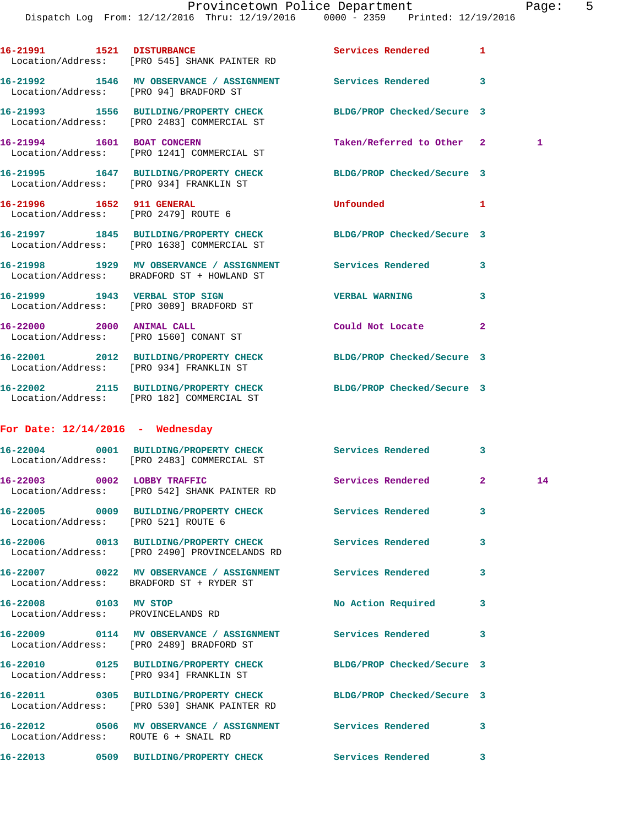Dispatch Log From: 12/12/2016 Thru: 12/19/2016 0000 - 2359 Printed: 12/19/2016

|                                    | 16-21991 1521 DISTURBANCE<br>Location/Address: [PRO 545] SHANK PAINTER RD                                        | Services Rendered 1        |                |    |
|------------------------------------|------------------------------------------------------------------------------------------------------------------|----------------------------|----------------|----|
|                                    | 16-21992 1546 MV OBSERVANCE / ASSIGNMENT Services Rendered<br>Location/Address: [PRO 94] BRADFORD ST             |                            | 3              |    |
|                                    | 16-21993 1556 BUILDING/PROPERTY CHECK BLDG/PROP Checked/Secure 3<br>Location/Address: [PRO 2483] COMMERCIAL ST   |                            |                |    |
|                                    | 16-21994 1601 BOAT CONCERN<br>Location/Address: [PRO 1241] COMMERCIAL ST                                         | Taken/Referred to Other 2  |                | 1  |
|                                    | 16-21995 1647 BUILDING/PROPERTY CHECK BLDG/PROP Checked/Secure 3<br>Location/Address: [PRO 934] FRANKLIN ST      |                            |                |    |
|                                    | 16-21996 1652 911 GENERAL<br>Location/Address: [PRO 2479] ROUTE 6                                                | Unfounded                  | 1              |    |
|                                    | 16-21997 1845 BUILDING/PROPERTY CHECK<br>Location/Address: [PRO 1638] COMMERCIAL ST                              | BLDG/PROP Checked/Secure 3 |                |    |
|                                    | 16-21998 1929 MV OBSERVANCE / ASSIGNMENT Services Rendered<br>Location/Address: BRADFORD ST + HOWLAND ST         |                            | 3              |    |
|                                    | 16-21999 1943 VERBAL STOP SIGN<br>Location/Address: [PRO 3089] BRADFORD ST                                       | <b>VERBAL WARNING</b>      | 3              |    |
|                                    | 16-22000 2000 ANIMAL CALL<br>Location/Address: [PRO 1560] CONANT ST                                              | Could Not Locate           | $\overline{2}$ |    |
|                                    | 16-22001 2012 BUILDING/PROPERTY CHECK BLDG/PROP Checked/Secure 3<br>Location/Address: [PRO 934] FRANKLIN ST      |                            |                |    |
|                                    | 16-22002 2115 BUILDING/PROPERTY CHECK BLDG/PROP Checked/Secure 3<br>Location/Address: [PRO 182] COMMERCIAL ST    |                            |                |    |
| For Date: $12/14/2016$ - Wednesday |                                                                                                                  |                            |                |    |
|                                    | 16-22004 0001 BUILDING/PROPERTY CHECK Services Rendered<br>Location/Address: [PRO 2483] COMMERCIAL ST            |                            | 3              |    |
|                                    | 16-22003 0002 LOBBY TRAFFIC<br>Location/Address: [PRO 542] SHANK PAINTER RD                                      | Services Rendered          | $\mathbf{2}$   | 14 |
|                                    | 16-22005 0009 BUILDING/PROPERTY CHECK Services Rendered<br>Location/Address: [PRO 521] ROUTE 6                   |                            | 3              |    |
|                                    | 16-22006 0013 BUILDING/PROPERTY CHECK Services Rendered 3<br>Location/Address: [PRO 2490] PROVINCELANDS RD       |                            |                |    |
|                                    | 16-22007 0022 MV OBSERVANCE / ASSIGNMENT Services Rendered<br>Location/Address: BRADFORD ST + RYDER ST           |                            | 3              |    |
|                                    | 16-22008 0103 MV STOP<br>Location/Address: PROVINCELANDS RD                                                      | No Action Required         | 3              |    |
|                                    | 16-22009 0114 MV OBSERVANCE / ASSIGNMENT Services Rendered<br>Location/Address: [PRO 2489] BRADFORD ST           |                            | 3              |    |
|                                    | 16-22010 0125 BUILDING/PROPERTY CHECK BLDG/PROP Checked/Secure 3<br>Location/Address: [PRO 934] FRANKLIN ST      |                            |                |    |
|                                    | 16-22011 0305 BUILDING/PROPERTY CHECK BLDG/PROP Checked/Secure 3<br>Location/Address: [PRO 530] SHANK PAINTER RD |                            |                |    |
|                                    | 16-22012 0506 MV OBSERVANCE / ASSIGNMENT Services Rendered<br>Location/Address: ROUTE 6 + SNAIL RD               |                            | 3              |    |
|                                    | 16-22013 0509 BUILDING/PROPERTY CHECK Services Rendered 3                                                        |                            |                |    |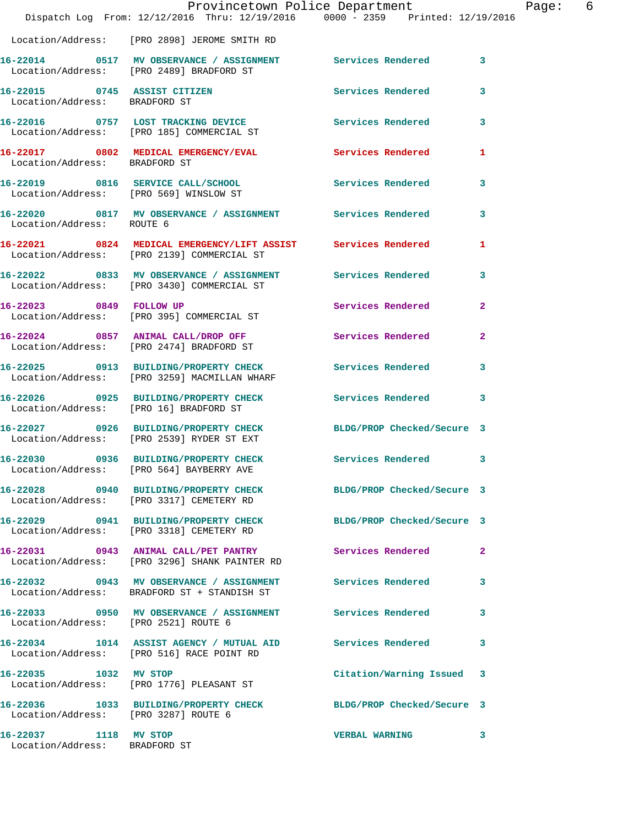|                                                        |                                                                                                               | Provincetown Police Department | Page: 6                 |
|--------------------------------------------------------|---------------------------------------------------------------------------------------------------------------|--------------------------------|-------------------------|
|                                                        | Dispatch Log From: 12/12/2016 Thru: 12/19/2016 0000 - 2359 Printed: 12/19/2016                                |                                |                         |
|                                                        | Location/Address: [PRO 2898] JEROME SMITH RD                                                                  |                                |                         |
|                                                        | 16-22014 0517 MV OBSERVANCE / ASSIGNMENT Services Rendered 3<br>Location/Address: [PRO 2489] BRADFORD ST      |                                |                         |
| Location/Address: BRADFORD ST                          | 16-22015 0745 ASSIST CITIZEN                                                                                  | Services Rendered              | 3                       |
|                                                        | 16-22016 0757 LOST TRACKING DEVICE Services Rendered 3<br>Location/Address: [PRO 185] COMMERCIAL ST           |                                |                         |
| Location/Address: BRADFORD ST                          | 16-22017 0802 MEDICAL EMERGENCY/EVAL Services Rendered                                                        |                                | 1                       |
|                                                        | 16-22019 0816 SERVICE CALL/SCHOOL 5ervices Rendered<br>Location/Address: [PRO 569] WINSLOW ST                 |                                | $\mathbf{3}$            |
|                                                        | 16-22020 0817 MV OBSERVANCE / ASSIGNMENT Services Rendered<br>Location/Address: ROUTE 6                       |                                | -3                      |
|                                                        | 16-22021 0824 MEDICAL EMERGENCY/LIFT ASSIST Services Rendered<br>Location/Address: [PRO 2139] COMMERCIAL ST   |                                | 1                       |
|                                                        | 16-22022 0833 MV OBSERVANCE / ASSIGNMENT Services Rendered<br>Location/Address: [PRO 3430] COMMERCIAL ST      |                                | $\overline{\mathbf{3}}$ |
|                                                        | 16-22023 0849 FOLLOW UP<br>Location/Address: [PRO 395] COMMERCIAL ST                                          | Services Rendered              | $\mathbf{2}$            |
|                                                        | 16-22024 0857 ANIMAL CALL/DROP OFF<br>Location/Address: [PRO 2474] BRADFORD ST                                | Services Rendered              | $\mathbf{2}$            |
|                                                        | 16-22025 0913 BUILDING/PROPERTY CHECK Services Rendered<br>Location/Address: [PRO 3259] MACMILLAN WHARF       |                                | 3                       |
| Location/Address: [PRO 16] BRADFORD ST                 | 16-22026 0925 BUILDING/PROPERTY CHECK Services Rendered 3                                                     |                                |                         |
|                                                        | 16-22027 0926 BUILDING/PROPERTY CHECK BLDG/PROP Checked/Secure 3<br>Location/Address: [PRO 2539] RYDER ST EXT |                                |                         |
|                                                        | 16-22030 0936 BUILDING/PROPERTY CHECK Services Rendered 3<br>Location/Address: [PRO 564] BAYBERRY AVE         |                                |                         |
|                                                        | 16-22028 0940 BUILDING/PROPERTY CHECK BLDG/PROP Checked/Secure 3<br>Location/Address: [PRO 3317] CEMETERY RD  |                                |                         |
|                                                        | 16-22029 0941 BUILDING/PROPERTY CHECK BLDG/PROP Checked/Secure 3<br>Location/Address: [PRO 3318] CEMETERY RD  |                                |                         |
|                                                        | 16-22031 0943 ANIMAL CALL/PET PANTRY Services Rendered<br>Location/Address: [PRO 3296] SHANK PAINTER RD       |                                | $\mathbf{2}$            |
|                                                        | 16-22032 0943 MV OBSERVANCE / ASSIGNMENT Services Rendered 3<br>Location/Address: BRADFORD ST + STANDISH ST   |                                |                         |
| Location/Address: [PRO 2521] ROUTE 6                   | 16-22033 0950 MV OBSERVANCE / ASSIGNMENT Services Rendered                                                    |                                | 3                       |
|                                                        | 16-22034 1014 ASSIST AGENCY / MUTUAL AID Services Rendered 3<br>Location/Address: [PRO 516] RACE POINT RD     |                                |                         |
|                                                        | 16-22035 1032 MV STOP<br>Location/Address: [PRO 1776] PLEASANT ST                                             | Citation/Warning Issued 3      |                         |
| Location/Address: [PRO 3287] ROUTE 6                   | 16-22036 1033 BUILDING/PROPERTY CHECK BLDG/PROP Checked/Secure 3                                              |                                |                         |
| 16-22037 1118 MV STOP<br>Location/Address: BRADFORD ST |                                                                                                               | <b>VERBAL WARNING</b>          | 3                       |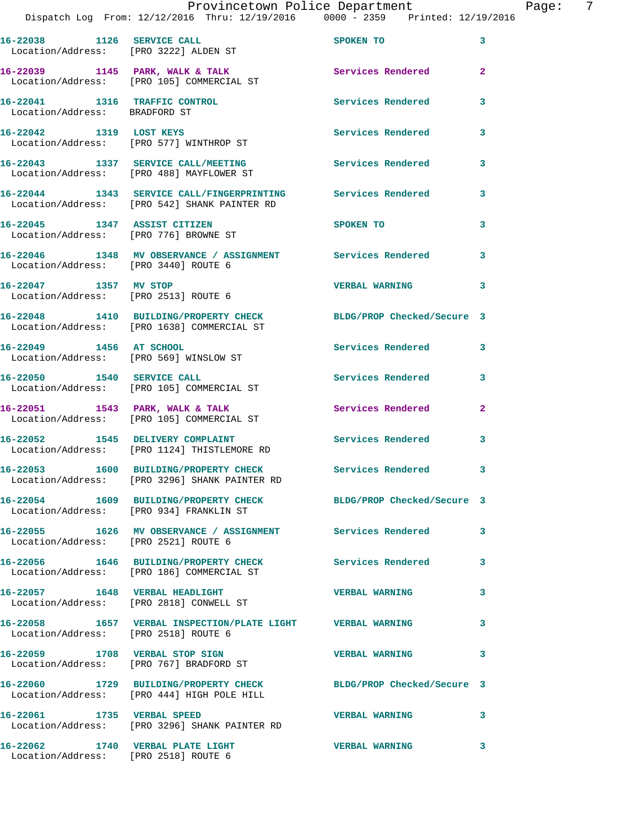|                                      | Provincetown Police Department<br>Dispatch Log From: 12/12/2016 Thru: 12/19/2016 0000 - 2359 Printed: 12/19/2016 |                       | Page: 7                 |
|--------------------------------------|------------------------------------------------------------------------------------------------------------------|-----------------------|-------------------------|
|                                      | 16-22038 1126 SERVICE CALL<br>Location/Address: [PRO 3222] ALDEN ST                                              | SPOKEN TO             | $\overline{\mathbf{3}}$ |
|                                      | 16-22039 1145 PARK, WALK & TALK<br>Location/Address: [PRO 105] COMMERCIAL ST                                     | Services Rendered 2   |                         |
| Location/Address: BRADFORD ST        | 16-22041 1316 TRAFFIC CONTROL Services Rendered                                                                  |                       | 3                       |
|                                      | 16-22042 1319 LOST KEYS<br>Location/Address: [PRO 577] WINTHROP ST                                               | Services Rendered 3   |                         |
|                                      | 16-22043 1337 SERVICE CALL/MEETING Services Rendered 3<br>Location/Address: [PRO 488] MAYFLOWER ST               |                       |                         |
|                                      | 16-22044 1343 SERVICE CALL/FINGERPRINTING Services Rendered 3<br>Location/Address: [PRO 542] SHANK PAINTER RD    |                       |                         |
|                                      | 16-22045 1347 ASSIST CITIZEN<br>Location/Address: [PRO 776] BROWNE ST                                            | SPOKEN TO             | $\mathbf{3}$            |
| Location/Address: [PRO 3440] ROUTE 6 | 16-22046 1348 MV OBSERVANCE / ASSIGNMENT Services Rendered 3                                                     |                       |                         |
|                                      | 16-22047 1357 MV STOP<br>Location/Address: [PRO 2513] ROUTE 6                                                    | VERBAL WARNING 3      |                         |
|                                      | 16-22048 1410 BUILDING/PROPERTY CHECK BLDG/PROP Checked/Secure 3<br>Location/Address: [PRO 1638] COMMERCIAL ST   |                       |                         |
|                                      | 16-22049 1456 AT SCHOOL<br>Location/Address: [PRO 569] WINSLOW ST                                                | Services Rendered 3   |                         |
|                                      | 16-22050 1540 SERVICE CALL<br>Location/Address: [PRO 105] COMMERCIAL ST                                          | Services Rendered 3   |                         |
|                                      | 16-22051 1543 PARK, WALK & TALK 1999 Services Rendered 2<br>Location/Address: [PRO 105] COMMERCIAL ST            |                       |                         |
|                                      | 16-22052 1545 DELIVERY COMPLAINT Services Rendered<br>Location/Address: [PRO 1124] THISTLEMORE RD                |                       | 3                       |
|                                      | 16-22053 1600 BUILDING/PROPERTY CHECK<br>Location/Address: [PRO 3296] SHANK PAINTER RD                           | Services Rendered 3   |                         |
|                                      | 16-22054 1609 BUILDING/PROPERTY CHECK BLDG/PROP Checked/Secure 3<br>Location/Address: [PRO 934] FRANKLIN ST      |                       |                         |
| Location/Address: [PRO 2521] ROUTE 6 | 16-22055 1626 MV OBSERVANCE / ASSIGNMENT Services Rendered 3                                                     |                       |                         |
|                                      | 16-22056 1646 BUILDING/PROPERTY CHECK Services Rendered 3<br>Location/Address: [PRO 186] COMMERCIAL ST           |                       |                         |
|                                      | 16-22057 1648 VERBAL HEADLIGHT<br>Location/Address: [PRO 2818] CONWELL ST                                        | <b>VERBAL WARNING</b> | 3                       |
| Location/Address: [PRO 2518] ROUTE 6 | 16-22058 1657 VERBAL INSPECTION/PLATE LIGHT VERBAL WARNING                                                       |                       | 3                       |
|                                      | 16-22059 1708 VERBAL STOP SIGN<br>Location/Address: [PRO 767] BRADFORD ST                                        | <b>VERBAL WARNING</b> | 3                       |
|                                      | 16-22060 1729 BUILDING/PROPERTY CHECK BLDG/PROP Checked/Secure 3<br>Location/Address: [PRO 444] HIGH POLE HILL   |                       |                         |
|                                      | 16-22061 1735 VERBAL SPEED<br>Location/Address: [PRO 3296] SHANK PAINTER RD                                      | VERBAL WARNING 3      |                         |
|                                      |                                                                                                                  |                       |                         |

Location/Address: [PRO 2518] ROUTE 6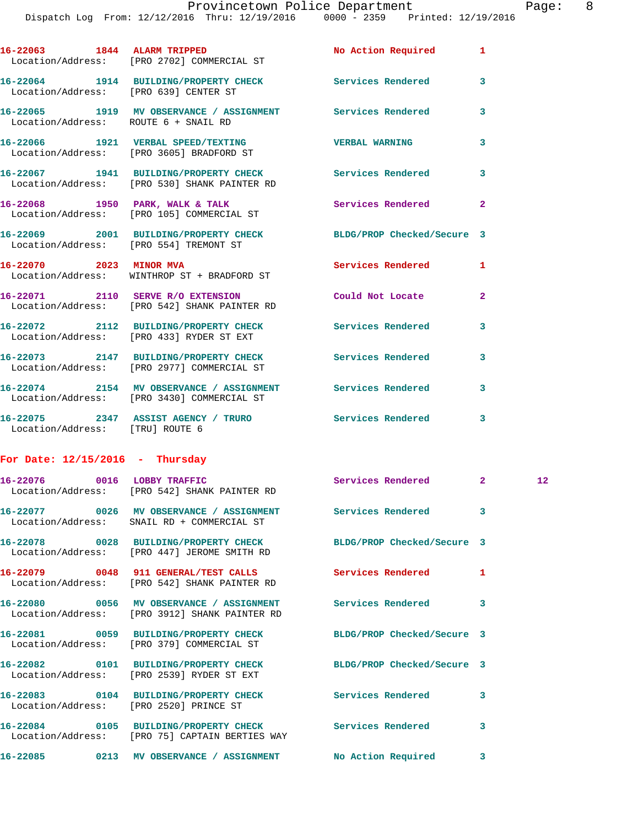Dispatch Log From: 12/12/2016 Thru: 12/19/2016 0000 - 2359 Printed: 12/19/2016 16-22063 1844 ALARM TRIPPED No Action Required 1 Location/Address: [PRO 2702] COMMERCIAL ST **16-22064 1914 BUILDING/PROPERTY CHECK Services Rendered 3**  Location/Address: [PRO 639] CENTER ST **16-22065 1919 MV OBSERVANCE / ASSIGNMENT Services Rendered 3**  Location/Address: ROUTE 6 + SNAIL RD **16-22066 1921 VERBAL SPEED/TEXTING VERBAL WARNING 3**  Location/Address: [PRO 3605] BRADFORD ST **16-22067 1941 BUILDING/PROPERTY CHECK Services Rendered 3**  Location/Address: [PRO 530] SHANK PAINTER RD **16-22068 1950 PARK, WALK & TALK Services Rendered 2**  Location/Address: [PRO 105] COMMERCIAL ST **16-22069 2001 BUILDING/PROPERTY CHECK BLDG/PROP Checked/Secure 3**  Location/Address: [PRO 554] TREMONT ST **16-22070 2023 MINOR MVA Services Rendered 1**  Location/Address: WINTHROP ST + BRADFORD ST **16-22071 2110 SERVE R/O EXTENSION Could Not Locate 2**  Location/Address: [PRO 542] SHANK PAINTER RD **16-22072 2112 BUILDING/PROPERTY CHECK Services Rendered 3**  Location/Address: [PRO 433] RYDER ST EXT **16-22073 2147 BUILDING/PROPERTY CHECK Services Rendered 3**  Location/Address: [PRO 2977] COMMERCIAL ST **16-22074 2154 MV OBSERVANCE / ASSIGNMENT Services Rendered 3**  Location/Address: [PRO 3430] COMMERCIAL ST

**16-22075 2347 ASSIST AGENCY / TRURO Services Rendered 3**  Location/Address: [TRU] ROUTE 6

## **For Date: 12/15/2016 - Thursday**

| 16-22076 0016 LOBBY TRAFFIC            | Location/Address: [PRO 542] SHANK PAINTER RD                                                                    | Services Rendered | $\overline{2}$ | 12 <sup>°</sup> |
|----------------------------------------|-----------------------------------------------------------------------------------------------------------------|-------------------|----------------|-----------------|
|                                        | 16-22077 0026 MV OBSERVANCE / ASSIGNMENT Services Rendered 3<br>Location/Address: SNAIL RD + COMMERCIAL ST      |                   |                |                 |
|                                        | 16-22078 0028 BUILDING/PROPERTY CHECK BLDG/PROP Checked/Secure 3<br>Location/Address: [PRO 447] JEROME SMITH RD |                   |                |                 |
|                                        | Location/Address: [PRO 542] SHANK PAINTER RD                                                                    |                   | $\mathbf{1}$   |                 |
|                                        | Location/Address: [PRO 3912] SHANK PAINTER RD                                                                   |                   | $\mathbf{3}$   |                 |
|                                        | 16-22081 0059 BUILDING/PROPERTY CHECK BLDG/PROP Checked/Secure 3<br>Location/Address: [PRO 379] COMMERCIAL ST   |                   |                |                 |
|                                        | 16-22082 0101 BUILDING/PROPERTY CHECK BLDG/PROP Checked/Secure 3<br>Location/Address: [PRO 2539] RYDER ST EXT   |                   |                |                 |
| Location/Address: [PRO 2520] PRINCE ST | 16-22083 0104 BUILDING/PROPERTY CHECK Services Rendered                                                         |                   | 3              |                 |
|                                        | 16-22084 0105 BUILDING/PROPERTY CHECK Services Rendered<br>Location/Address: [PRO 75] CAPTAIN BERTIES WAY       |                   | 3              |                 |
|                                        | 16-22085 0213 MV OBSERVANCE / ASSIGNMENT No Action Required                                                     |                   | 3              |                 |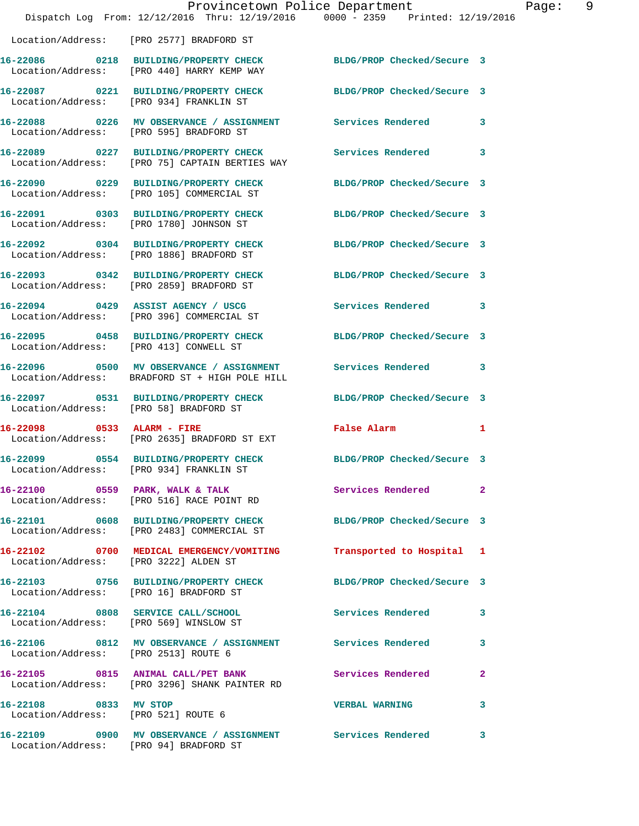|                                                              |                                                                                    | Provincetown Police Department                                                                          | 9<br>Page: |
|--------------------------------------------------------------|------------------------------------------------------------------------------------|---------------------------------------------------------------------------------------------------------|------------|
|                                                              |                                                                                    | Dispatch Log From: 12/12/2016 Thru: 12/19/2016 0000 - 2359 Printed: 12/19/2016                          |            |
|                                                              | Location/Address: [PRO 2577] BRADFORD ST                                           |                                                                                                         |            |
|                                                              | Location/Address: [PRO 440] HARRY KEMP WAY                                         | 16-22086 0218 BUILDING/PROPERTY CHECK BLDG/PROP Checked/Secure 3                                        |            |
|                                                              | Location/Address: [PRO 934] FRANKLIN ST                                            | 16-22087 0221 BUILDING/PROPERTY CHECK BLDG/PROP Checked/Secure 3                                        |            |
|                                                              |                                                                                    | 16-22088 0226 MV OBSERVANCE / ASSIGNMENT Services Rendered 3<br>Location/Address: [PRO 595] BRADFORD ST |            |
|                                                              | Location/Address: [PRO 75] CAPTAIN BERTIES WAY                                     | 16-22089 0227 BUILDING/PROPERTY CHECK Services Rendered 3                                               |            |
|                                                              | 16-22090 0229 BUILDING/PROPERTY CHECK<br>Location/Address: [PRO 105] COMMERCIAL ST | BLDG/PROP Checked/Secure 3                                                                              |            |
|                                                              | Location/Address: [PRO 1780] JOHNSON ST                                            | 16-22091 0303 BUILDING/PROPERTY CHECK BLDG/PROP Checked/Secure 3                                        |            |
|                                                              | 16-22092 0304 BUILDING/PROPERTY CHECK<br>Location/Address: [PRO 1886] BRADFORD ST  | BLDG/PROP Checked/Secure 3                                                                              |            |
|                                                              | Location/Address: [PRO 2859] BRADFORD ST                                           | 16-22093 0342 BUILDING/PROPERTY CHECK BLDG/PROP Checked/Secure 3                                        |            |
|                                                              | 16-22094 0429 ASSIST AGENCY / USCG<br>Location/Address: [PRO 396] COMMERCIAL ST    | Services Rendered 3                                                                                     |            |
|                                                              | Location/Address: [PRO 413] CONWELL ST                                             | 16-22095 0458 BUILDING/PROPERTY CHECK BLDG/PROP Checked/Secure 3                                        |            |
|                                                              | Location/Address: BRADFORD ST + HIGH POLE HILL                                     | 16-22096 0500 MV OBSERVANCE / ASSIGNMENT Services Rendered 3                                            |            |
|                                                              | 16-22097 0531 BUILDING/PROPERTY CHECK<br>Location/Address: [PRO 58] BRADFORD ST    | BLDG/PROP Checked/Secure 3                                                                              |            |
| 16-22098 0533 ALARM - FIRE                                   | Location/Address: [PRO 2635] BRADFORD ST EXT                                       | False Alarm 1                                                                                           |            |
|                                                              | 16-22099 0554 BUILDING/PROPERTY CHECK<br>Location/Address: [PRO 934] FRANKLIN ST   | BLDG/PROP Checked/Secure 3                                                                              |            |
|                                                              | 16-22100 0559 PARK, WALK & TALK<br>Location/Address: [PRO 516] RACE POINT RD       | Services Rendered 2                                                                                     |            |
|                                                              | Location/Address: [PRO 2483] COMMERCIAL ST                                         | 16-22101 0608 BUILDING/PROPERTY CHECK BLDG/PROP Checked/Secure 3                                        |            |
| Location/Address: [PRO 3222] ALDEN ST                        |                                                                                    | 16-22102 0700 MEDICAL EMERGENCY/VOMITING Transported to Hospital 1                                      |            |
|                                                              | Location/Address: [PRO 16] BRADFORD ST                                             | 16-22103 0756 BUILDING/PROPERTY CHECK BLDG/PROP Checked/Secure 3                                        |            |
|                                                              | Location/Address: [PRO 569] WINSLOW ST                                             | 16-22104 0808 SERVICE CALL/SCHOOL 5ervices Rendered 3                                                   |            |
|                                                              | Location/Address: [PRO 2513] ROUTE 6                                               | 16-22106 0812 MV OBSERVANCE / ASSIGNMENT Services Rendered 3                                            |            |
|                                                              | Location/Address: [PRO 3296] SHANK PAINTER RD                                      | 16-22105 0815 ANIMAL CALL/PET BANK Services Rendered 2                                                  |            |
| 16-22108 0833 MV STOP<br>Location/Address: [PRO 521] ROUTE 6 |                                                                                    | <b>VERBAL WARNING</b><br>$\mathbf{3}$                                                                   |            |
|                                                              | Location/Address: [PRO 94] BRADFORD ST                                             | 16-22109 0900 MV OBSERVANCE / ASSIGNMENT Services Rendered 3                                            |            |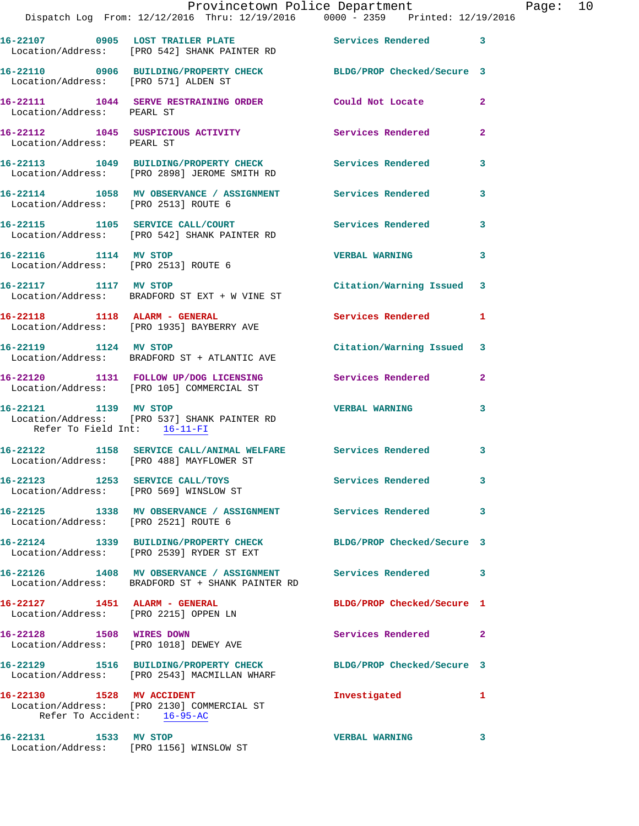|                                                                        | Dispatch Log From: 12/12/2016 Thru: 12/19/2016 0000 - 2359 Printed: 12/19/2016                                   | Provincetown Police Department Page: 10 |                |  |
|------------------------------------------------------------------------|------------------------------------------------------------------------------------------------------------------|-----------------------------------------|----------------|--|
|                                                                        | 16-22107 0905 LOST TRAILER PLATE Services Rendered 3<br>Location/Address: [PRO 542] SHANK PAINTER RD             |                                         |                |  |
|                                                                        | 16-22110 0906 BUILDING/PROPERTY CHECK BLDG/PROP Checked/Secure 3<br>Location/Address: [PRO 571] ALDEN ST         |                                         |                |  |
| Location/Address: PEARL ST                                             | 16-22111 1044 SERVE RESTRAINING ORDER Could Not Locate                                                           |                                         | $\mathbf{2}$   |  |
| Location/Address: PEARL ST                                             | 16-22112 1045 SUSPICIOUS ACTIVITY 1000 Services Rendered                                                         |                                         | $\overline{a}$ |  |
|                                                                        | 16-22113 1049 BUILDING/PROPERTY CHECK Services Rendered<br>Location/Address: [PRO 2898] JEROME SMITH RD          |                                         | 3              |  |
|                                                                        | 16-22114 1058 MV OBSERVANCE / ASSIGNMENT Services Rendered<br>Location/Address: [PRO 2513] ROUTE 6               |                                         | 3              |  |
|                                                                        |                                                                                                                  | Services Rendered 3                     |                |  |
| 16-22116 1114 MV STOP                                                  | Location/Address: [PRO 2513] ROUTE 6                                                                             | <b>VERBAL WARNING</b>                   | 3              |  |
|                                                                        | 16-22117 1117 MV STOP<br>Location/Address: BRADFORD ST EXT + W VINE ST                                           | Citation/Warning Issued 3               |                |  |
|                                                                        | 16-22118 1118 ALARM - GENERAL<br>Location/Address: [PRO 1935] BAYBERRY AVE                                       | Services Rendered                       | $\mathbf{1}$   |  |
|                                                                        | 16-22119 1124 MV STOP<br>Location/Address: BRADFORD ST + ATLANTIC AVE                                            | Citation/Warning Issued 3               |                |  |
|                                                                        | 16-22120 1131 FOLLOW UP/DOG LICENSING Services Rendered<br>Location/Address: [PRO 105] COMMERCIAL ST             |                                         | $\mathbf{2}$   |  |
| 16-22121 1139 MV STOP<br>Refer To Field Int: 16-11-FI                  | Location/Address: [PRO 537] SHANK PAINTER RD                                                                     | <b>VERBAL WARNING</b>                   | 3              |  |
|                                                                        | 16-22122 1158 SERVICE CALL/ANIMAL WELFARE Services Rendered<br>Location/Address: [PRO 488] MAYFLOWER ST          |                                         | 3              |  |
|                                                                        | 16-22123 1253 SERVICE CALL/TOYS<br>Location/Address: [PRO 569] WINSLOW ST                                        | Services Rendered                       | 3              |  |
| Location/Address: [PRO 2521] ROUTE 6                                   | 16-22125 1338 MV OBSERVANCE / ASSIGNMENT Services Rendered                                                       |                                         | 3              |  |
|                                                                        | 16-22124 1339 BUILDING/PROPERTY CHECK BLDG/PROP Checked/Secure 3<br>Location/Address: [PRO 2539] RYDER ST EXT    |                                         |                |  |
|                                                                        | 16-22126 1408 MV OBSERVANCE / ASSIGNMENT Services Rendered<br>Location/Address: BRADFORD ST + SHANK PAINTER RD   |                                         | 3              |  |
| 16-22127 1451 ALARM - GENERAL<br>Location/Address: [PRO 2215] OPPEN LN |                                                                                                                  | BLDG/PROP Checked/Secure 1              |                |  |
|                                                                        | 16-22128 1508 WIRES DOWN<br>Location/Address: [PRO 1018] DEWEY AVE                                               | Services Rendered 2                     |                |  |
|                                                                        | 16-22129 1516 BUILDING/PROPERTY CHECK BLDG/PROP Checked/Secure 3<br>Location/Address: [PRO 2543] MACMILLAN WHARF |                                         |                |  |
| Refer To Accident: 16-95-AC                                            | 16-22130 1528 MV ACCIDENT<br>Location/Address: [PRO 2130] COMMERCIAL ST                                          | Investigated 1                          |                |  |
| 16-22131 1533 MV STOP                                                  |                                                                                                                  | <b>VERBAL WARNING</b>                   | 3              |  |

Location/Address: [PRO 1156] WINSLOW ST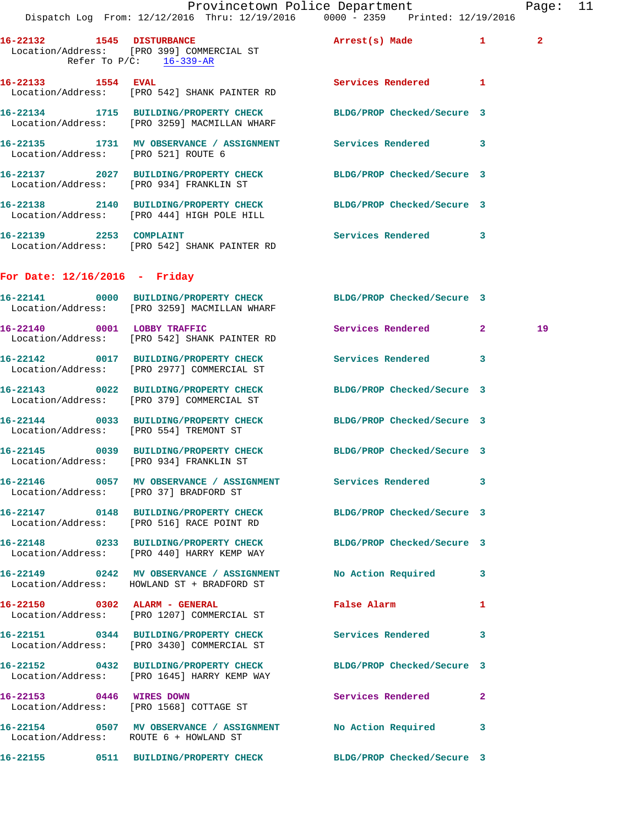|                                     |                                                                                                                  | Provincetown Police Department                      |   | Page: 11     |  |
|-------------------------------------|------------------------------------------------------------------------------------------------------------------|-----------------------------------------------------|---|--------------|--|
|                                     | Dispatch Log From: 12/12/2016 Thru: 12/19/2016 0000 - 2359 Printed: 12/19/2016                                   |                                                     |   |              |  |
| Refer To $P/C$ : 16-339-AR          | 16-22132 1545 DISTURBANCE<br>Location/Address: [PRO 399] COMMERCIAL ST                                           | Arrest(s) Made 1                                    |   | $\mathbf{2}$ |  |
|                                     | 16-22133 1554 EVAL<br>Location/Address: [PRO 542] SHANK PAINTER RD                                               | Services Rendered 1                                 |   |              |  |
|                                     | 16-22134 1715 BUILDING/PROPERTY CHECK BLDG/PROP Checked/Secure 3<br>Location/Address: [PRO 3259] MACMILLAN WHARF |                                                     |   |              |  |
| Location/Address: [PRO 521] ROUTE 6 | 16-22135 1731 MV OBSERVANCE / ASSIGNMENT Services Rendered 3                                                     |                                                     |   |              |  |
|                                     | 16-22137 2027 BUILDING/PROPERTY CHECK BLDG/PROP Checked/Secure 3<br>Location/Address: [PRO 934] FRANKLIN ST      |                                                     |   |              |  |
|                                     | 16-22138 2140 BUILDING/PROPERTY CHECK BLDG/PROP Checked/Secure 3<br>Location/Address: [PRO 444] HIGH POLE HILL   |                                                     |   |              |  |
| 16-22139 2253 COMPLAINT             | Location/Address: [PRO 542] SHANK PAINTER RD                                                                     | Services Rendered 3                                 |   |              |  |
| For Date: $12/16/2016$ - Friday     |                                                                                                                  |                                                     |   |              |  |
|                                     | 16-22141 0000 BUILDING/PROPERTY CHECK BLDG/PROP Checked/Secure 3<br>Location/Address: [PRO 3259] MACMILLAN WHARF |                                                     |   |              |  |
|                                     | 16-22140 0001 LOBBY TRAFFIC<br>Location/Address: [PRO 542] SHANK PAINTER RD                                      | Services Rendered 2                                 |   | 19           |  |
|                                     | 16-22142 0017 BUILDING/PROPERTY CHECK Services Rendered 3<br>Location/Address: [PRO 2977] COMMERCIAL ST          |                                                     |   |              |  |
|                                     | 16-22143 0022 BUILDING/PROPERTY CHECK BLDG/PROP Checked/Secure 3<br>Location/Address: [PRO 379] COMMERCIAL ST    |                                                     |   |              |  |
|                                     | 16-22144 0033 BUILDING/PROPERTY CHECK BLDG/PROP Checked/Secure 3<br>Location/Address: [PRO 554] TREMONT ST       |                                                     |   |              |  |
|                                     | 16-22145 0039 BUILDING/PROPERTY CHECK BLDG/PROP Checked/Secure 3<br>Location/Address: [PRO 934] FRANKLIN ST      |                                                     |   |              |  |
|                                     | 16-22146 0057 MV OBSERVANCE / ASSIGNMENT Services Rendered<br>Location/Address: [PRO 37] BRADFORD ST             |                                                     | 3 |              |  |
|                                     | 16-22147 0148 BUILDING/PROPERTY CHECK BLDG/PROP Checked/Secure 3<br>Location/Address: [PRO 516] RACE POINT RD    |                                                     |   |              |  |
|                                     | 16-22148 0233 BUILDING/PROPERTY CHECK BLDG/PROP Checked/Secure 3<br>Location/Address: [PRO 440] HARRY KEMP WAY   |                                                     |   |              |  |
|                                     | 16-22149 0242 MV OBSERVANCE / ASSIGNMENT<br>Location/Address: HOWLAND ST + BRADFORD ST                           | No Action Required                                  | 3 |              |  |
| 16-22150 0302 ALARM - GENERAL       | Location/Address: [PRO 1207] COMMERCIAL ST                                                                       | False Alarm <b>Exercise Service Service Service</b> | 1 |              |  |
|                                     | 16-22151 0344 BUILDING/PROPERTY CHECK Services Rendered<br>Location/Address: [PRO 3430] COMMERCIAL ST            |                                                     | 3 |              |  |

**16-22152 0432 BUILDING/PROPERTY CHECK BLDG/PROP Checked/Secure 3**  Location/Address: [PRO 1645] HARRY KEMP WAY

**16-22153 0446 WIRES DOWN Services Rendered 2**  Location/Address: [PRO 1568] COTTAGE ST

**16-22154 0507 MV OBSERVANCE / ASSIGNMENT No Action Required 3**  Location/Address: ROUTE 6 + HOWLAND ST

**16-22155 0511 BUILDING/PROPERTY CHECK BLDG/PROP Checked/Secure 3**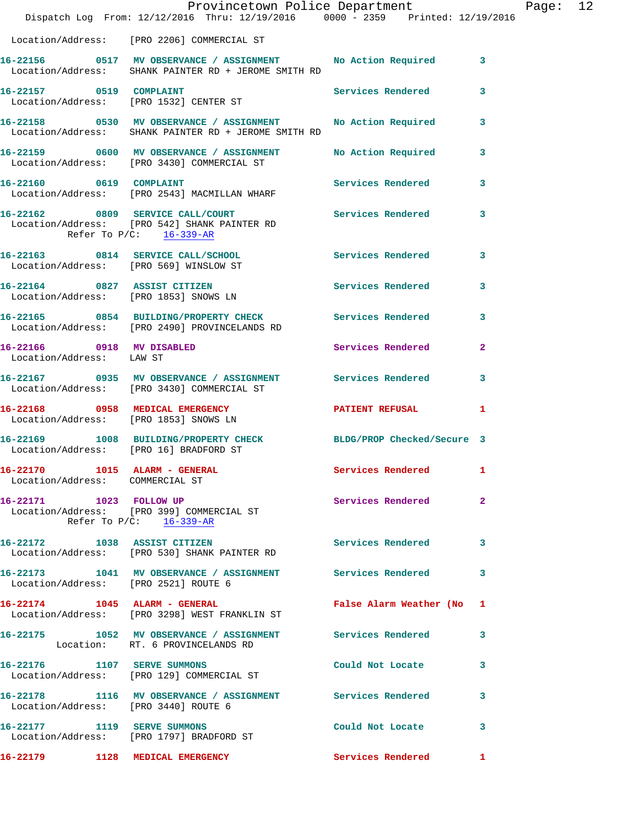|                                                                  | Dispatch Log From: 12/12/2016 Thru: 12/19/2016 0000 - 2359 Printed: 12/19/2016                                        | Provincetown Police Department Page: 12 |              |  |
|------------------------------------------------------------------|-----------------------------------------------------------------------------------------------------------------------|-----------------------------------------|--------------|--|
|                                                                  | Location/Address: [PRO 2206] COMMERCIAL ST                                                                            |                                         |              |  |
|                                                                  | 16-22156 0517 MV OBSERVANCE / ASSIGNMENT No Action Required 3<br>Location/Address: SHANK PAINTER RD + JEROME SMITH RD |                                         |              |  |
|                                                                  | 16-22157 0519 COMPLAINT<br>Location/Address: [PRO 1532] CENTER ST                                                     | Services Rendered                       | 3            |  |
|                                                                  | 16-22158 0530 MV OBSERVANCE / ASSIGNMENT No Action Required 3<br>Location/Address: SHANK PAINTER RD + JEROME SMITH RD |                                         |              |  |
|                                                                  | 16-22159 0600 MV OBSERVANCE / ASSIGNMENT No Action Required 3<br>Location/Address: [PRO 3430] COMMERCIAL ST           |                                         |              |  |
| 16-22160 0619 COMPLAINT                                          | Location/Address: [PRO 2543] MACMILLAN WHARF                                                                          | Services Rendered                       | $\mathbf{3}$ |  |
| Refer To $P/C$ : 16-339-AR                                       | 16-22162 0809 SERVICE CALL/COURT Services Rendered 3<br>Location/Address: [PRO 542] SHANK PAINTER RD                  |                                         |              |  |
| Location/Address: [PRO 569] WINSLOW ST                           | 16-22163 0814 SERVICE CALL/SCHOOL 5ervices Rendered                                                                   |                                         | 3            |  |
|                                                                  | 16-22164 0827 ASSIST CITIZEN<br>Location/Address: [PRO 1853] SNOWS LN                                                 | Services Rendered 3                     |              |  |
|                                                                  | 16-22165 0854 BUILDING/PROPERTY CHECK Services Rendered<br>Location/Address: [PRO 2490] PROVINCELANDS RD              |                                         | 3            |  |
| Location/Address: LAW ST                                         | 16-22166 0918 MV DISABLED                                                                                             | Services Rendered 2                     |              |  |
|                                                                  | 16-22167 0935 MV OBSERVANCE / ASSIGNMENT Services Rendered<br>Location/Address: [PRO 3430] COMMERCIAL ST              |                                         | 3            |  |
|                                                                  | 16-22168 0958 MEDICAL EMERGENCY PATIENT REFUSAL<br>Location/Address: [PRO 1853] SNOWS LN                              |                                         | 1            |  |
|                                                                  | 16-22169 1008 BUILDING/PROPERTY CHECK BLDG/PROP Checked/Secure 3<br>Location/Address: [PRO 16] BRADFORD ST            |                                         |              |  |
| 16-22170 1015 ALARM - GENERAL<br>Location/Address: COMMERCIAL ST |                                                                                                                       | Services Rendered 1                     |              |  |
| Refer To P/C: 16-339-AR                                          | 16-22171 1023 FOLLOW UP<br>Location/Address: [PRO 399] COMMERCIAL ST                                                  | Services Rendered                       | $\mathbf{2}$ |  |
|                                                                  | 16-22172 1038 ASSIST CITIZEN 5ervices Rendered 3<br>Location/Address: [PRO 530] SHANK PAINTER RD                      |                                         |              |  |
| Location/Address: [PRO 2521] ROUTE 6                             | 16-22173 1041 MV OBSERVANCE / ASSIGNMENT Services Rendered                                                            |                                         | 3            |  |
|                                                                  | 16-22174 1045 ALARM - GENERAL False Alarm Weather (No 1<br>Location/Address: [PRO 3298] WEST FRANKLIN ST              |                                         |              |  |
|                                                                  | 16-22175 1052 MV OBSERVANCE / ASSIGNMENT Services Rendered<br>Location: RT. 6 PROVINCELANDS RD                        |                                         | 3            |  |
| 16-22176 1107 SERVE SUMMONS                                      | Location/Address: [PRO 129] COMMERCIAL ST                                                                             | Could Not Locate                        | 3            |  |
| Location/Address: [PRO 3440] ROUTE 6                             | 16-22178 1116 MV OBSERVANCE / ASSIGNMENT Services Rendered                                                            |                                         | 3            |  |
|                                                                  | 16-22177 1119 SERVE SUMMONS<br>Location/Address: [PRO 1797] BRADFORD ST                                               | Could Not Locate                        | 3            |  |
| 16-22179 1128 MEDICAL EMERGENCY                                  |                                                                                                                       | Services Rendered                       | $\mathbf{1}$ |  |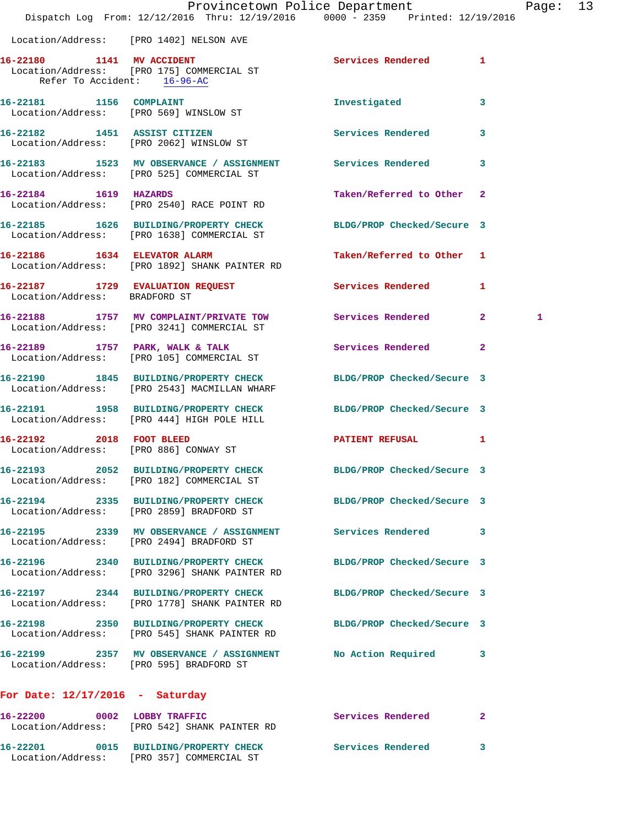|                                         | Provincetown Police Department<br>Dispatch Log From: 12/12/2016 Thru: 12/19/2016 0000 - 2359 Printed: 12/19/2016 |                            | Pag                 |
|-----------------------------------------|------------------------------------------------------------------------------------------------------------------|----------------------------|---------------------|
|                                         | Location/Address: [PRO 1402] NELSON AVE                                                                          |                            |                     |
| Refer To Accident: 16-96-AC             | 16-22180 1141 MV ACCIDENT<br>Location/Address: [PRO 175] COMMERCIAL ST                                           | Services Rendered          | 1                   |
| 16-22181 1156 COMPLAINT                 | Location/Address: [PRO 569] WINSLOW ST                                                                           | Investigated               | 3                   |
|                                         | 16-22182 1451 ASSIST CITIZEN<br>Location/Address: [PRO 2062] WINSLOW ST                                          | Services Rendered          | 3                   |
|                                         | 16-22183 1523 MV OBSERVANCE / ASSIGNMENT Services Rendered<br>Location/Address: [PRO 525] COMMERCIAL ST          |                            | 3                   |
| 16-22184 1619 HAZARDS                   | Location/Address: [PRO 2540] RACE POINT RD                                                                       | Taken/Referred to Other 2  |                     |
|                                         | 16-22185 1626 BUILDING/PROPERTY CHECK BLDG/PROP Checked/Secure 3<br>Location/Address: [PRO 1638] COMMERCIAL ST   |                            |                     |
|                                         | 16-22186 1634 ELEVATOR ALARM<br>Location/Address: [PRO 1892] SHANK PAINTER RD                                    | Taken/Referred to Other 1  |                     |
| Location/Address: BRADFORD ST           | 16-22187 1729 EVALUATION REQUEST Services Rendered                                                               |                            | 1                   |
|                                         | 16-22188 1757 MV COMPLAINT/PRIVATE TOW Services Rendered<br>Location/Address: [PRO 3241] COMMERCIAL ST           |                            | 2 <sup>1</sup><br>1 |
|                                         | 16-22189 1757 PARK, WALK & TALK<br>Location/Address: [PRO 105] COMMERCIAL ST                                     | Services Rendered          | $\mathbf{2}$        |
|                                         | 16-22190 1845 BUILDING/PROPERTY CHECK BLDG/PROP Checked/Secure 3<br>Location/Address: [PRO 2543] MACMILLAN WHARF |                            |                     |
|                                         | 16-22191 1958 BUILDING/PROPERTY CHECK BLDG/PROP Checked/Secure 3<br>Location/Address: [PRO 444] HIGH POLE HILL   |                            |                     |
| 16-22192 2018 FOOT BLEED                | Location/Address: [PRO 886] CONWAY ST                                                                            | PATIENT REFUSAL            | 1                   |
|                                         | 16-22193 2052 BUILDING/PROPERTY CHECK<br>Location/Address: [PRO 182] COMMERCIAL ST                               | BLDG/PROP Checked/Secure 3 |                     |
|                                         | 16-22194 2335 BUILDING/PROPERTY CHECK BLDG/PROP Checked/Secure 3<br>Location/Address: [PRO 2859] BRADFORD ST     |                            |                     |
|                                         | 16-22195 2339 MV OBSERVANCE / ASSIGNMENT Services Rendered<br>Location/Address: [PRO 2494] BRADFORD ST           |                            | 3                   |
|                                         | 16-22196 2340 BUILDING/PROPERTY CHECK<br>Location/Address: [PRO 3296] SHANK PAINTER RD                           | BLDG/PROP Checked/Secure 3 |                     |
|                                         | 16-22197 2344 BUILDING/PROPERTY CHECK<br>Location/Address: [PRO 1778] SHANK PAINTER RD                           | BLDG/PROP Checked/Secure 3 |                     |
|                                         | 16-22198 2350 BUILDING/PROPERTY CHECK<br>Location/Address: [PRO 545] SHANK PAINTER RD                            | BLDG/PROP Checked/Secure 3 |                     |
| Location/Address: [PRO 595] BRADFORD ST | 16-22199 2357 MV OBSERVANCE / ASSIGNMENT No Action Required                                                      |                            | 3                   |
| For Date: $12/17/2016$ - Saturday       |                                                                                                                  |                            |                     |
|                                         | 16-22200 0002 LOBBY TRAFFIC<br>Location/Address: [PRO 542] SHANK PAINTER RD                                      | Services Rendered          | $\mathbf{2}$        |

**16-22201 0015 BUILDING/PROPERTY CHECK Services Rendered 3** 

Location/Address: [PRO 357] COMMERCIAL ST

Page: 13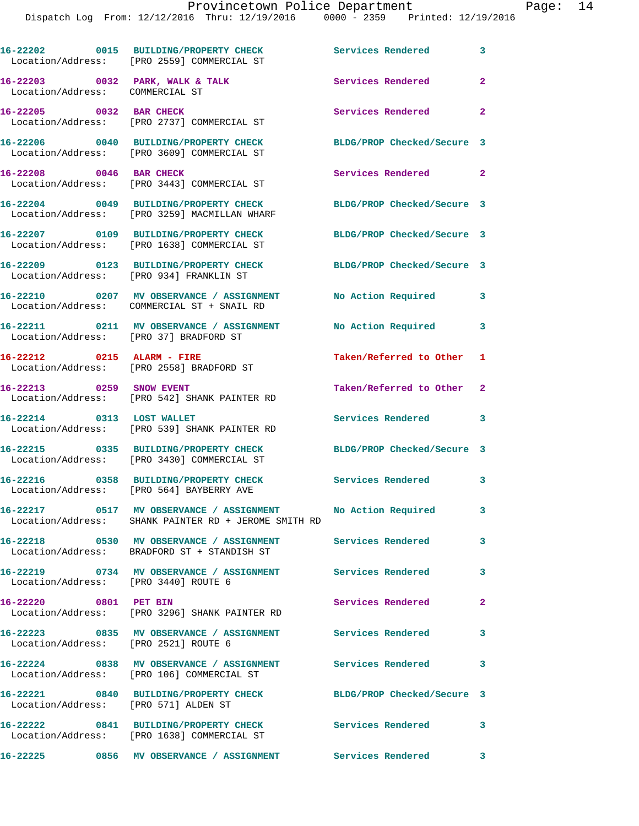|                                        | 16-22202 0015 BUILDING/PROPERTY CHECK<br>Location/Address: [PRO 2559] COMMERCIAL ST                                 | <b>Services Rendered</b> 3 |                            |
|----------------------------------------|---------------------------------------------------------------------------------------------------------------------|----------------------------|----------------------------|
| Location/Address: COMMERCIAL ST        | 16-22203 0032 PARK, WALK & TALK                                                                                     | Services Rendered          | $\mathbf{2}$               |
| 16-22205 0032 BAR CHECK                | Location/Address: [PRO 2737] COMMERCIAL ST                                                                          | Services Rendered 2        |                            |
|                                        | 16-22206 0040 BUILDING/PROPERTY CHECK<br>Location/Address: [PRO 3609] COMMERCIAL ST                                 | BLDG/PROP Checked/Secure 3 |                            |
| 16-22208 0046 BAR CHECK                | Location/Address: [PRO 3443] COMMERCIAL ST                                                                          | Services Rendered 2        |                            |
|                                        | 16-22204 0049 BUILDING/PROPERTY CHECK<br>Location/Address: [PRO 3259] MACMILLAN WHARF                               | BLDG/PROP Checked/Secure 3 |                            |
|                                        | 16-22207 0109 BUILDING/PROPERTY CHECK<br>Location/Address: [PRO 1638] COMMERCIAL ST                                 | BLDG/PROP Checked/Secure 3 |                            |
|                                        | 16-22209 0123 BUILDING/PROPERTY CHECK<br>Location/Address: [PRO 934] FRANKLIN ST                                    | BLDG/PROP Checked/Secure 3 |                            |
|                                        | 16-22210 0207 MV OBSERVANCE / ASSIGNMENT<br>Location/Address: COMMERCIAL ST + SNAIL RD                              | No Action Required 3       |                            |
| Location/Address: [PRO 37] BRADFORD ST | 16-22211 0211 MV OBSERVANCE / ASSIGNMENT                                                                            | No Action Required         | 3                          |
| 16-22212 0215 ALARM - FIRE             | Location/Address: [PRO 2558] BRADFORD ST                                                                            | Taken/Referred to Other 1  |                            |
| 16-22213 0259 SNOW EVENT               | Location/Address: [PRO 542] SHANK PAINTER RD                                                                        | Taken/Referred to Other 2  |                            |
| 16-22214 0313 LOST WALLET              | Location/Address: [PRO 539] SHANK PAINTER RD                                                                        | Services Rendered 3        |                            |
|                                        | 16-22215 0335 BUILDING/PROPERTY CHECK<br>Location/Address: [PRO 3430] COMMERCIAL ST                                 | BLDG/PROP Checked/Secure 3 |                            |
|                                        | 16-22216 0358 BUILDING/PROPERTY CHECK<br>Location/Address: [PRO 564] BAYBERRY AVE                                   | Services Rendered 3        |                            |
|                                        | 16-22217 0517 MV OBSERVANCE / ASSIGNMENT No Action Required<br>Location/Address: SHANK PAINTER RD + JEROME SMITH RD |                            | 3                          |
|                                        | 16-22218 0530 MV OBSERVANCE / ASSIGNMENT Services Rendered 3<br>Location/Address: BRADFORD ST + STANDISH ST         |                            |                            |
| Location/Address: [PRO 3440] ROUTE 6   | 16-22219 0734 MV OBSERVANCE / ASSIGNMENT Services Rendered                                                          |                            | 3                          |
| 16-22220 0801 PET BIN                  | Location/Address: [PRO 3296] SHANK PAINTER RD                                                                       | Services Rendered 2        |                            |
| Location/Address: [PRO 2521] ROUTE 6   | 16-22223 0835 MV OBSERVANCE / ASSIGNMENT Services Rendered                                                          |                            | $\overline{\phantom{a}}$ 3 |
|                                        | 16-22224 0838 MV OBSERVANCE / ASSIGNMENT Services Rendered<br>Location/Address: [PRO 106] COMMERCIAL ST             |                            | $\mathbf{3}$               |
| Location/Address: [PRO 571] ALDEN ST   | 16-22221 0840 BUILDING/PROPERTY CHECK                                                                               | BLDG/PROP Checked/Secure 3 |                            |
|                                        | 16-22222 0841 BUILDING/PROPERTY CHECK<br>Location/Address: [PRO 1638] COMMERCIAL ST                                 | <b>Services Rendered</b> 3 |                            |
|                                        | 16-22225 0856 MV OBSERVANCE / ASSIGNMENT Services Rendered 3                                                        |                            |                            |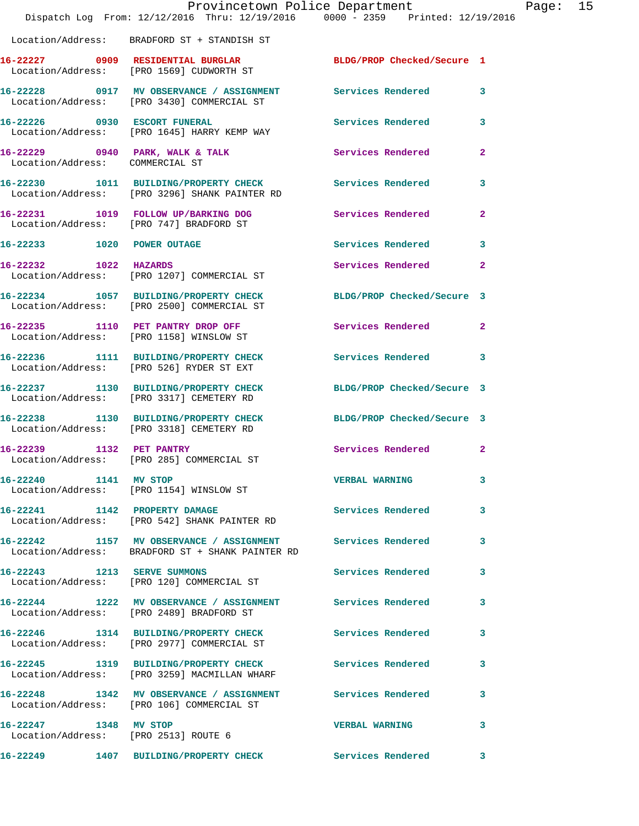|                                 | Provincetown Police Department<br>Dispatch Log From: 12/12/2016 Thru: 12/19/2016 0000 - 2359 Printed: 12/19/2016 |                            | Page: 15     |
|---------------------------------|------------------------------------------------------------------------------------------------------------------|----------------------------|--------------|
|                                 | Location/Address: BRADFORD ST + STANDISH ST                                                                      |                            |              |
|                                 | 16-22227 0909 RESIDENTIAL BURGLAR BLDG/PROP Checked/Secure 1<br>Location/Address: [PRO 1569] CUDWORTH ST         |                            |              |
|                                 | 16-22228 0917 MV OBSERVANCE / ASSIGNMENT Services Rendered 3<br>Location/Address: [PRO 3430] COMMERCIAL ST       |                            |              |
|                                 | 16-22226 0930 ESCORT FUNERAL<br>Location/Address: [PRO 1645] HARRY KEMP WAY                                      | <b>Services Rendered</b>   | 3            |
| Location/Address: COMMERCIAL ST | 16-22229 0940 PARK, WALK & TALK Services Rendered                                                                |                            | $\mathbf{2}$ |
|                                 | 16-22230 1011 BUILDING/PROPERTY CHECK<br>Location/Address: [PRO 3296] SHANK PAINTER RD                           | Services Rendered          | 3            |
|                                 | 16-22231 1019 FOLLOW UP/BARKING DOG<br>Location/Address: [PRO 747] BRADFORD ST                                   | Services Rendered          | $\mathbf{2}$ |
| 16-22233 1020 POWER OUTAGE      |                                                                                                                  | Services Rendered          | $\mathbf{3}$ |
| 16-22232 1022 HAZARDS           | Location/Address: [PRO 1207] COMMERCIAL ST                                                                       | Services Rendered          | $\mathbf{2}$ |
|                                 | 16-22234 1057 BUILDING/PROPERTY CHECK<br>Location/Address: [PRO 2500] COMMERCIAL ST                              | BLDG/PROP Checked/Secure 3 |              |
|                                 | 16-22235 1110 PET PANTRY DROP OFF<br>Location/Address: [PRO 1158] WINSLOW ST                                     | Services Rendered          | $\mathbf{2}$ |
|                                 | 16-22236 1111 BUILDING/PROPERTY CHECK<br>Location/Address: [PRO 526] RYDER ST EXT                                | Services Rendered          | 3            |
|                                 | 16-22237 1130 BUILDING/PROPERTY CHECK<br>Location/Address: [PRO 3317] CEMETERY RD                                | BLDG/PROP Checked/Secure 3 |              |
|                                 | 16-22238 1130 BUILDING/PROPERTY CHECK BLDG/PROP Checked/Secure 3<br>Location/Address: [PRO 3318] CEMETERY RD     |                            |              |
|                                 | 16-22239 1132 PET PANTRY<br>Location/Address: [PRO 285] COMMERCIAL ST                                            | Services Rendered          | $\mathbf{2}$ |
|                                 | 16-22240 1141 MV STOP<br>Location/Address: [PRO 1154] WINSLOW ST                                                 | <b>VERBAL WARNING</b>      | 3            |
|                                 | 16-22241 1142 PROPERTY DAMAGE<br>Location/Address: [PRO 542] SHANK PAINTER RD                                    | Services Rendered          | 3            |
|                                 | 16-22242 1157 MV OBSERVANCE / ASSIGNMENT Services Rendered<br>Location/Address: BRADFORD ST + SHANK PAINTER RD   |                            | 3            |
|                                 | 16-22243 1213 SERVE SUMMONS<br>Location/Address: [PRO 120] COMMERCIAL ST                                         | <b>Services Rendered</b>   | 3            |
|                                 | 16-22244 1222 MV OBSERVANCE / ASSIGNMENT Services Rendered<br>Location/Address: [PRO 2489] BRADFORD ST           |                            | 3            |
|                                 | 16-22246 1314 BUILDING/PROPERTY CHECK<br>Location/Address: [PRO 2977] COMMERCIAL ST                              | Services Rendered          | 3            |
|                                 | 16-22245 1319 BUILDING/PROPERTY CHECK<br>Location/Address: [PRO 3259] MACMILLAN WHARF                            | <b>Services Rendered</b>   | 3            |
|                                 | 16-22248 1342 MV OBSERVANCE / ASSIGNMENT Services Rendered<br>Location/Address: [PRO 106] COMMERCIAL ST          |                            | 3            |
| 16-22247 1348 MV STOP           | Location/Address: [PRO 2513] ROUTE 6                                                                             | <b>VERBAL WARNING</b>      | 3            |
|                                 | 16-22249 1407 BUILDING/PROPERTY CHECK Services Rendered                                                          |                            | 3            |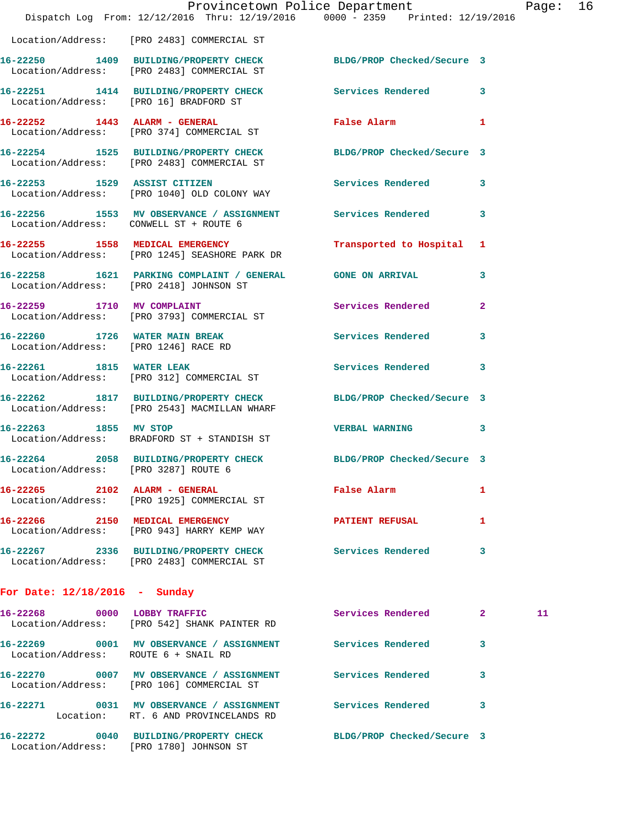|                                        |                                                                                                                  | Provincetown Police Department |              | Page: 16 |  |
|----------------------------------------|------------------------------------------------------------------------------------------------------------------|--------------------------------|--------------|----------|--|
|                                        | Dispatch Log From: 12/12/2016 Thru: 12/19/2016 0000 - 2359 Printed: 12/19/2016                                   |                                |              |          |  |
|                                        | Location/Address: [PRO 2483] COMMERCIAL ST                                                                       |                                |              |          |  |
|                                        | 16-22250 1409 BUILDING/PROPERTY CHECK BLDG/PROP Checked/Secure 3<br>Location/Address: [PRO 2483] COMMERCIAL ST   |                                |              |          |  |
| Location/Address: [PRO 16] BRADFORD ST | 16-22251 1414 BUILDING/PROPERTY CHECK Services Rendered                                                          |                                | 3            |          |  |
|                                        | 16-22252 1443 ALARM - GENERAL<br>Location/Address: [PRO 374] COMMERCIAL ST                                       | False Alarm 1                  |              |          |  |
|                                        | 16-22254 1525 BUILDING/PROPERTY CHECK BLDG/PROP Checked/Secure 3<br>Location/Address: [PRO 2483] COMMERCIAL ST   |                                |              |          |  |
|                                        | 16-22253 1529 ASSIST CITIZEN<br>Location/Address: [PRO 1040] OLD COLONY WAY                                      | Services Rendered 3            |              |          |  |
| Location/Address: CONWELL ST + ROUTE 6 | 16-22256 1553 MV OBSERVANCE / ASSIGNMENT Services Rendered                                                       |                                | 3            |          |  |
|                                        | 16-22255 1558 MEDICAL EMERGENCY<br>Location/Address: [PRO 1245] SEASHORE PARK DR                                 | Transported to Hospital 1      |              |          |  |
|                                        | 16-22258 1621 PARKING COMPLAINT / GENERAL GONE ON ARRIVAL<br>Location/Address: [PRO 2418] JOHNSON ST             |                                | 3            |          |  |
|                                        | 16-22259 1710 MV COMPLAINT<br>Location/Address: [PRO 3793] COMMERCIAL ST                                         | Services Rendered              | $\mathbf{2}$ |          |  |
|                                        | 16-22260 1726 WATER MAIN BREAK<br>Location/Address: [PRO 1246] RACE RD                                           | Services Rendered              | 3            |          |  |
|                                        | 16-22261 1815 WATER LEAK<br>Location/Address: [PRO 312] COMMERCIAL ST                                            | <b>Services Rendered</b>       | 3            |          |  |
|                                        | 16-22262 1817 BUILDING/PROPERTY CHECK BLDG/PROP Checked/Secure 3<br>Location/Address: [PRO 2543] MACMILLAN WHARF |                                |              |          |  |
| 16-22263 1855 MV STOP                  | Location/Address: BRADFORD ST + STANDISH ST                                                                      | <b>VERBAL WARNING</b>          | 3            |          |  |
| Location/Address: [PRO 3287] ROUTE 6   | 16-22264 2058 BUILDING/PROPERTY CHECK BLDG/PROP Checked/Secure 3                                                 |                                |              |          |  |
|                                        | 16-22265 2102 ALARM - GENERAL False Alarm<br>Location/Address: [PRO 1925] COMMERCIAL ST                          |                                | 1            |          |  |
|                                        | 16-22266 2150 MEDICAL EMERGENCY<br>Location/Address: [PRO 943] HARRY KEMP WAY                                    | PATIENT REFUSAL                | 1            |          |  |
|                                        | 16-22267 2336 BUILDING/PROPERTY CHECK Services Rendered<br>Location/Address: [PRO 2483] COMMERCIAL ST            |                                | 3            |          |  |
| For Date: $12/18/2016$ - Sunday        |                                                                                                                  |                                |              |          |  |
|                                        | 16-22268 0000 LOBBY TRAFFIC<br>Location/Address: [PRO 542] SHANK PAINTER RD                                      | Services Rendered 2            |              | 11       |  |
| Location/Address: ROUTE 6 + SNAIL RD   | 16-22269 0001 MV OBSERVANCE / ASSIGNMENT Services Rendered                                                       |                                | 3            |          |  |
|                                        | 16-22270 0007 MV OBSERVANCE / ASSIGNMENT Services Rendered<br>Location/Address: [PRO 106] COMMERCIAL ST          |                                | 3            |          |  |
|                                        | 16-22271 0031 MV OBSERVANCE / ASSIGNMENT Services Rendered<br>Location: RT. 6 AND PROVINCELANDS RD               |                                | 3            |          |  |
|                                        | 16-22272 0040 BUILDING/PROPERTY CHECK BLDG/PROP Checked/Secure 3<br>Location/Address: [PRO 1780] JOHNSON ST      |                                |              |          |  |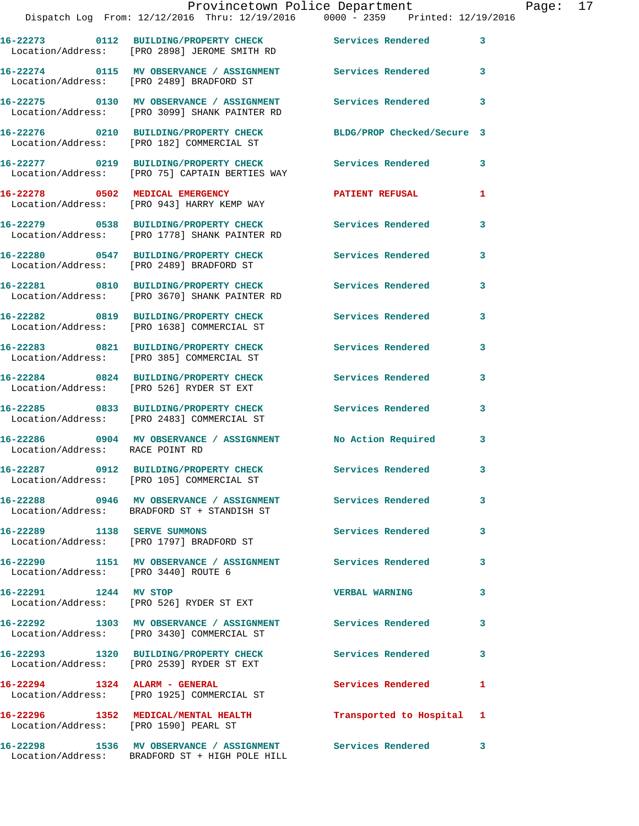|                                       | Provincetown Police Department<br>Dispatch Log From: 12/12/2016 Thru: 12/19/2016 0000 - 2359 Printed: 12/19/2016          |                           |   |
|---------------------------------------|---------------------------------------------------------------------------------------------------------------------------|---------------------------|---|
|                                       |                                                                                                                           |                           |   |
|                                       | 16-22273 0112 BUILDING/PROPERTY CHECK Services Rendered<br>Location/Address: [PRO 2898] JEROME SMITH RD                   |                           | 3 |
|                                       | 16-22274 0115 MV OBSERVANCE / ASSIGNMENT Services Rendered<br>Location/Address: [PRO 2489] BRADFORD ST                    |                           | 3 |
|                                       | 16-22275     0130   MV OBSERVANCE / ASSIGNMENT       Services Rendered<br>Location/Address:   [PRO 3099] SHANK PAINTER RD |                           | 3 |
|                                       | 16-22276 0210 BUILDING/PROPERTY CHECK BLDG/PROP Checked/Secure 3<br>Location/Address: [PRO 182] COMMERCIAL ST             |                           |   |
|                                       | 16-22277   0219   BUILDING/PROPERTY CHECK   Services Rendered<br>Location/Address: [PRO 75] CAPTAIN BERTIES WAY           |                           | 3 |
|                                       | 16-22278 0502 MEDICAL EMERGENCY<br>Location/Address: [PRO 943] HARRY KEMP WAY                                             | <b>PATIENT REFUSAL</b>    | 1 |
|                                       | 16-22279 0538 BUILDING/PROPERTY CHECK Services Rendered<br>Location/Address: [PRO 1778] SHANK PAINTER RD                  |                           | 3 |
|                                       | 16-22280 0547 BUILDING/PROPERTY CHECK Services Rendered<br>Location/Address: [PRO 2489] BRADFORD ST                       |                           | 3 |
|                                       | 16-22281 0810 BUILDING/PROPERTY CHECK Services Rendered<br>Location/Address: [PRO 3670] SHANK PAINTER RD                  |                           | 3 |
|                                       | 16-22282 0819 BUILDING/PROPERTY CHECK Services Rendered<br>Location/Address: [PRO 1638] COMMERCIAL ST                     |                           | 3 |
|                                       | 16-22283 0821 BUILDING/PROPERTY CHECK Services Rendered<br>Location/Address: [PRO 385] COMMERCIAL ST                      |                           | 3 |
|                                       | 16-22284 0824 BUILDING/PROPERTY CHECK<br>Location/Address: [PRO 526] RYDER ST EXT                                         | <b>Services Rendered</b>  | 3 |
|                                       | 16-22285 0833 BUILDING/PROPERTY CHECK Services Rendered<br>Location/Address: [PRO 2483] COMMERCIAL ST                     |                           | 3 |
|                                       | 16-22286     0904   MV OBSERVANCE / ASSIGNMENT       No Action Required<br>Location/Address:   RACE POINT RD              |                           | 3 |
|                                       | 16-22287 0912 BUILDING/PROPERTY CHECK<br>Location/Address: [PRO 105] COMMERCIAL ST                                        | <b>Services Rendered</b>  |   |
|                                       | 16-22288 0946 MV OBSERVANCE / ASSIGNMENT Services Rendered<br>Location/Address: BRADFORD ST + STANDISH ST                 |                           | 3 |
| 16-22289 1138 SERVE SUMMONS           | Location/Address: [PRO 1797] BRADFORD ST                                                                                  | <b>Services Rendered</b>  | 3 |
| Location/Address: [PRO 3440] ROUTE 6  | 16-22290 1151 MV OBSERVANCE / ASSIGNMENT Services Rendered                                                                |                           | 3 |
| 16-22291 1244 MV STOP                 | Location/Address: [PRO 526] RYDER ST EXT                                                                                  | <b>VERBAL WARNING</b>     | 3 |
|                                       | 16-22292 1303 MV OBSERVANCE / ASSIGNMENT Services Rendered<br>Location/Address: [PRO 3430] COMMERCIAL ST                  |                           | 3 |
|                                       | 16-22293 1320 BUILDING/PROPERTY CHECK Services Rendered<br>Location/Address: [PRO 2539] RYDER ST EXT                      |                           | 3 |
|                                       | 16-22294 1324 ALARM - GENERAL<br>Location/Address: [PRO 1925] COMMERCIAL ST                                               | <b>Services Rendered</b>  | 1 |
| Location/Address: [PRO 1590] PEARL ST | 16-22296 1352 MEDICAL/MENTAL HEALTH                                                                                       | Transported to Hospital 1 |   |
|                                       | 16-22298 1536 MV OBSERVANCE / ASSIGNMENT Services Rendered                                                                |                           | 3 |

Location/Address: BRADFORD ST + HIGH POLE HILL

Page: 17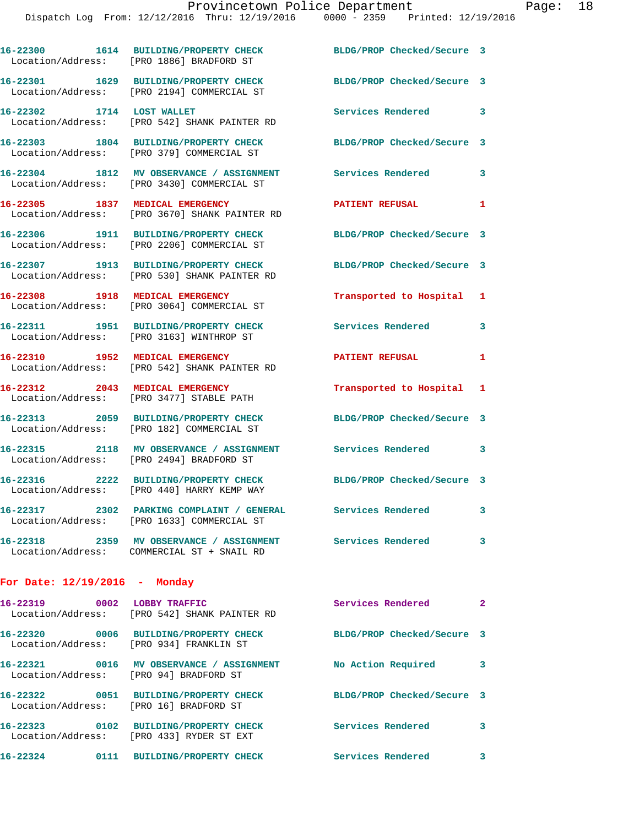|                                 | 16-22300 1614 BUILDING/PROPERTY CHECK<br>Location/Address: [PRO 1886] BRADFORD ST                         | BLDG/PROP Checked/Secure 3 |              |
|---------------------------------|-----------------------------------------------------------------------------------------------------------|----------------------------|--------------|
|                                 | 16-22301 1629 BUILDING/PROPERTY CHECK<br>Location/Address: [PRO 2194] COMMERCIAL ST                       | BLDG/PROP Checked/Secure 3 |              |
| 16-22302 1714 LOST WALLET       | Location/Address: [PRO 542] SHANK PAINTER RD                                                              | Services Rendered 3        |              |
|                                 | 16-22303 1804 BUILDING/PROPERTY CHECK<br>Location/Address: [PRO 379] COMMERCIAL ST                        | BLDG/PROP Checked/Secure 3 |              |
|                                 | 16-22304 1812 MV OBSERVANCE / ASSIGNMENT<br>Location/Address: [PRO 3430] COMMERCIAL ST                    | <b>Services Rendered</b>   | 3            |
|                                 | 16-22305 1837 MEDICAL EMERGENCY<br>Location/Address: [PRO 3670] SHANK PAINTER RD                          | <b>PATIENT REFUSAL</b>     | 1            |
|                                 | 16-22306 1911 BUILDING/PROPERTY CHECK<br>Location/Address: [PRO 2206] COMMERCIAL ST                       | BLDG/PROP Checked/Secure 3 |              |
|                                 | 16-22307 1913 BUILDING/PROPERTY CHECK<br>Location/Address: [PRO 530] SHANK PAINTER RD                     | BLDG/PROP Checked/Secure 3 |              |
| 16-22308 1918 MEDICAL EMERGENCY | Location/Address: [PRO 3064] COMMERCIAL ST                                                                | Transported to Hospital 1  |              |
|                                 | 16-22311 1951 BUILDING/PROPERTY CHECK<br>Location/Address: [PRO 3163] WINTHROP ST                         | <b>Services Rendered</b>   | 3            |
| 16-22310 1952 MEDICAL EMERGENCY | Location/Address: [PRO 542] SHANK PAINTER RD                                                              | <b>PATIENT REFUSAL</b>     | 1            |
| Location/Address:               | 16-22312 2043 MEDICAL EMERGENCY<br>[PRO 3477] STABLE PATH                                                 | Transported to Hospital 1  |              |
|                                 | 16-22313 2059 BUILDING/PROPERTY CHECK<br>Location/Address: [PRO 182] COMMERCIAL ST                        | BLDG/PROP Checked/Secure 3 |              |
|                                 | 16-22315 2118 MV OBSERVANCE / ASSIGNMENT Services Rendered 3<br>Location/Address: [PRO 2494] BRADFORD ST  |                            |              |
|                                 | 16-22316 2222 BUILDING/PROPERTY CHECK<br>Location/Address: [PRO 440] HARRY KEMP WAY                       | BLDG/PROP Checked/Secure 3 |              |
|                                 | 16-22317 2302 PARKING COMPLAINT / GENERAL Services Rendered<br>Location/Address: [PRO 1633] COMMERCIAL ST |                            | 3            |
|                                 | 16-22318 2359 MV OBSERVANCE / ASSIGNMENT Services Rendered<br>Location/Address: COMMERCIAL ST + SNAIL RD  |                            | 3            |
| For Date: $12/19/2016$ - Monday |                                                                                                           |                            |              |
| 16-22319 0002 LOBBY TRAFFIC     | Location/Address: [PRO 542] SHANK PAINTER RD                                                              | Services Rendered          | $\mathbf{2}$ |
|                                 |                                                                                                           |                            |              |

**16-22320 0006 BUILDING/PROPERTY CHECK BLDG/PROP Checked/Secure 3**  Location/Address: [PRO 934] FRANKLIN ST **16-22321 0016 MV OBSERVANCE / ASSIGNMENT No Action Required 3**  Location/Address: [PRO 94] BRADFORD ST **16-22322 0051 BUILDING/PROPERTY CHECK BLDG/PROP Checked/Secure 3** 

 Location/Address: [PRO 16] BRADFORD ST **16-22323 0102 BUILDING/PROPERTY CHECK Services Rendered 3**  Location/Address: [PRO 433] RYDER ST EXT **16-22324 0111 BUILDING/PROPERTY CHECK Services Rendered 3**